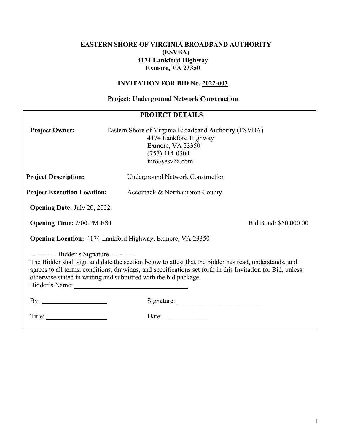### **EASTERN SHORE OF VIRGINIA BROADBAND AUTHORITY (ESVBA) 4174 Lankford Highway Exmore, VA 23350**

# **INVITATION FOR BID No. 2022-003**

## **Project: Underground Network Construction**

|                                                                                                               | <b>PROJECT DETAILS</b>                                                                                                                                                                                              |
|---------------------------------------------------------------------------------------------------------------|---------------------------------------------------------------------------------------------------------------------------------------------------------------------------------------------------------------------|
| <b>Project Owner:</b>                                                                                         | Eastern Shore of Virginia Broadband Authority (ESVBA)<br>4174 Lankford Highway<br>Exmore, VA 23350<br>$(757)$ 414-0304<br>info@esvba.com                                                                            |
| <b>Project Description:</b>                                                                                   | <b>Underground Network Construction</b>                                                                                                                                                                             |
| <b>Project Execution Location:</b>                                                                            | Accomack & Northampton County                                                                                                                                                                                       |
| <b>Opening Date: July 20, 2022</b>                                                                            |                                                                                                                                                                                                                     |
| <b>Opening Time: 2:00 PM EST</b>                                                                              | Bid Bond: \$50,000.00                                                                                                                                                                                               |
|                                                                                                               | Opening Location: 4174 Lankford Highway, Exmore, VA 23350                                                                                                                                                           |
| ----------- Bidder's Signature -----------<br>otherwise stated in writing and submitted with the bid package. | The Bidder shall sign and date the section below to attest that the bidder has read, understands, and<br>agrees to all terms, conditions, drawings, and specifications set forth in this Invitation for Bid, unless |
| By: $\qquad \qquad$                                                                                           |                                                                                                                                                                                                                     |
|                                                                                                               | Date: $\frac{1}{\sqrt{1-\frac{1}{2}} \cdot \frac{1}{2}}$                                                                                                                                                            |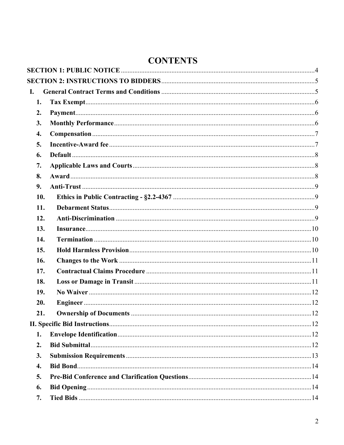| $\mathbf{I}$ .     |  |
|--------------------|--|
| 1.                 |  |
| 2.                 |  |
| 3.                 |  |
| $\boldsymbol{4}$ . |  |
| 5.                 |  |
| 6.                 |  |
| 7.                 |  |
| 8.                 |  |
| 9.                 |  |
| 10.                |  |
| 11.                |  |
| 12.                |  |
| 13.                |  |
| 14.                |  |
| 15.                |  |
| 16.                |  |
| 17.                |  |
| 18.                |  |
| 19.                |  |
| 20.                |  |
| 21.                |  |
|                    |  |
| 1.                 |  |
| 2.                 |  |
| 3.                 |  |
| 4.                 |  |
| 5.                 |  |
| 6.                 |  |
| 7.                 |  |

# **CONTENTS**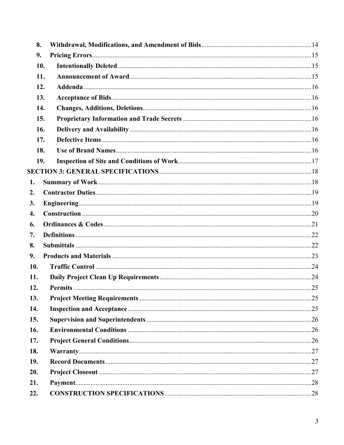| 8.  |     |  |
|-----|-----|--|
| 9.  |     |  |
|     | 10. |  |
|     | 11. |  |
|     | 12. |  |
|     | 13. |  |
|     | 14. |  |
|     | 15. |  |
|     | 16. |  |
|     | 17. |  |
|     | 18. |  |
|     | 19. |  |
|     |     |  |
| 1.  |     |  |
| 2.  |     |  |
| 3.  |     |  |
| 4.  |     |  |
| 6.  |     |  |
| 7.  |     |  |
| 8.  |     |  |
| 9.  |     |  |
| 10. |     |  |
| 11. |     |  |
| 12. |     |  |
| 13. |     |  |
| 14. |     |  |
| 15. |     |  |
| 16. |     |  |
| 17. |     |  |
| 18. |     |  |
| 19. |     |  |
| 20. |     |  |
| 21. |     |  |
| 22. |     |  |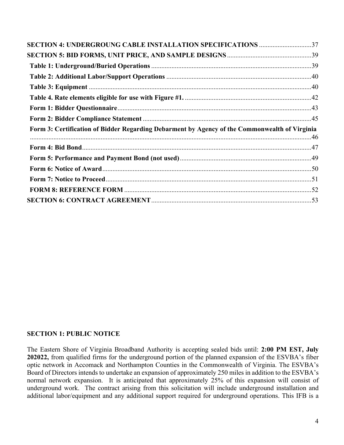| Form 3: Certification of Bidder Regarding Debarment by Agency of the Commonwealth of Virginia | SECTION 4: UNDERGROUNG CABLE INSTALLATION SPECIFICATIONS 37 |  |
|-----------------------------------------------------------------------------------------------|-------------------------------------------------------------|--|
|                                                                                               |                                                             |  |
|                                                                                               |                                                             |  |
|                                                                                               |                                                             |  |
|                                                                                               |                                                             |  |
|                                                                                               |                                                             |  |
|                                                                                               |                                                             |  |
|                                                                                               |                                                             |  |
|                                                                                               |                                                             |  |
|                                                                                               |                                                             |  |
|                                                                                               |                                                             |  |
|                                                                                               |                                                             |  |
|                                                                                               |                                                             |  |
|                                                                                               |                                                             |  |
|                                                                                               |                                                             |  |
|                                                                                               |                                                             |  |

# **SECTION 1: PUBLIC NOTICE**

The Eastern Shore of Virginia Broadband Authority is accepting sealed bids until: **2:00 PM EST, July 202022,** from qualified firms for the underground portion of the planned expansion of the ESVBA's fiber optic network in Accomack and Northampton Counties in the Commonwealth of Virginia. The ESVBA's Board of Directors intends to undertake an expansion of approximately 250 miles in addition to the ESVBA's normal network expansion. It is anticipated that approximately 25% of this expansion will consist of underground work. The contract arising from this solicitation will include underground installation and additional labor/equipment and any additional support required for underground operations. This IFB is a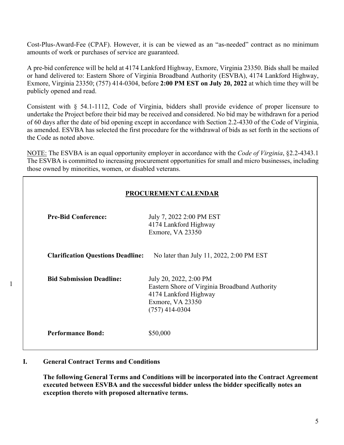Cost-Plus-Award-Fee (CPAF). However, it is can be viewed as an "as-needed" contract as no minimum amounts of work or purchases of service are guaranteed.

A pre-bid conference will be held at 4174 Lankford Highway, Exmore, Virginia 23350. Bids shall be mailed or hand delivered to: Eastern Shore of Virginia Broadband Authority (ESVBA), 4174 Lankford Highway, Exmore, Virginia 23350; (757) 414-0304, before **2:00 PM EST on July 20, 2022** at which time they will be publicly opened and read.

Consistent with § 54.1-1112, Code of Virginia, bidders shall provide evidence of proper licensure to undertake the Project before their bid may be received and considered. No bid may be withdrawn for a period of 60 days after the date of bid opening except in accordance with Section 2.2-4330 of the Code of Virginia, as amended. ESVBA has selected the first procedure for the withdrawal of bids as set forth in the sections of the Code as noted above.

NOTE: The ESVBA is an equal opportunity employer in accordance with the *Code of Virginia*, §2.2-4343.1 The ESVBA is committed to increasing procurement opportunities for small and micro businesses, including those owned by minorities, women, or disabled veterans.

# **PROCUREMENT CALENDAR**

| <b>Pre-Bid Conference:</b>               | July 7, 2022 2:00 PM EST<br>4174 Lankford Highway<br>Exmore, VA 23350                                                                    |
|------------------------------------------|------------------------------------------------------------------------------------------------------------------------------------------|
| <b>Clarification Questions Deadline:</b> | No later than July 11, 2022, 2:00 PM EST                                                                                                 |
| <b>Bid Submission Deadline:</b>          | July 20, 2022, 2:00 PM<br>Eastern Shore of Virginia Broadband Authority<br>4174 Lankford Highway<br>Exmore, VA 23350<br>$(757)$ 414-0304 |
| <b>Performance Bond:</b>                 | \$50,000                                                                                                                                 |

### **I. General Contract Terms and Conditions**

1

**The following General Terms and Conditions will be incorporated into the Contract Agreement executed between ESVBA and the successful bidder unless the bidder specifically notes an exception thereto with proposed alternative terms.**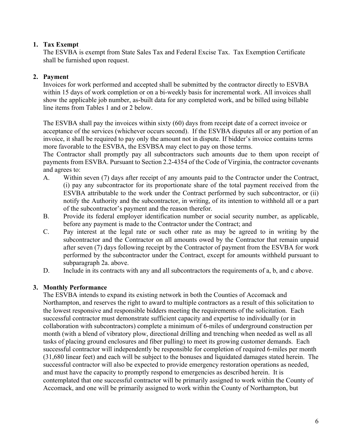# **1. Tax Exempt**

The ESVBA is exempt from State Sales Tax and Federal Excise Tax. Tax Exemption Certificate shall be furnished upon request.

# **2. Payment**

Invoices for work performed and accepted shall be submitted by the contractor directly to ESVBA within 15 days of work completion or on a bi-weekly basis for incremental work. All invoices shall show the applicable job number, as-built data for any completed work, and be billed using billable line items from Tables 1 and or 2 below.

The ESVBA shall pay the invoices within sixty (60) days from receipt date of a correct invoice or acceptance of the services (whichever occurs second). If the ESVBA disputes all or any portion of an invoice, it shall be required to pay only the amount not in dispute. If bidder's invoice contains terms more favorable to the ESVBA, the ESVBSA may elect to pay on those terms.

The Contractor shall promptly pay all subcontractors such amounts due to them upon receipt of payments from ESVBA. Pursuant to Section 2.2-4354 of the Code of Virginia, the contractor covenants and agrees to:

- A. Within seven (7) days after receipt of any amounts paid to the Contractor under the Contract, (i) pay any subcontractor for its proportionate share of the total payment received from the ESVBA attributable to the work under the Contract performed by such subcontractor, or (ii) notify the Authority and the subcontractor, in writing, of its intention to withhold all or a part of the subcontractor's payment and the reason therefor.
- B. Provide its federal employer identification number or social security number, as applicable, before any payment is made to the Contractor under the Contract; and
- C. Pay interest at the legal rate or such other rate as may be agreed to in writing by the subcontractor and the Contractor on all amounts owed by the Contractor that remain unpaid after seven (7) days following receipt by the Contractor of payment from the ESVBA for work performed by the subcontractor under the Contract, except for amounts withheld pursuant to subparagraph 2a. above.
- D. Include in its contracts with any and all subcontractors the requirements of a, b, and c above.

# **3. Monthly Performance**

The ESVBA intends to expand its existing network in both the Counties of Accomack and Northampton, and reserves the right to award to multiple contractors as a result of this solicitation to the lowest responsive and responsible bidders meeting the requirements of the solicitation. Each successful contractor must demonstrate sufficient capacity and expertise to individually (or in collaboration with subcontractors) complete a minimum of 6-miles of underground construction per month (with a blend of vibratory plow, directional drilling and trenching when needed as well as all tasks of placing ground enclosures and fiber pulling) to meet its growing customer demands. Each successful contractor will independently be responsible for completion of required 6-miles per month (31,680 linear feet) and each will be subject to the bonuses and liquidated damages stated herein. The successful contractor will also be expected to provide emergency restoration operations as needed, and must have the capacity to promptly respond to emergencies as described herein. It is contemplated that one successful contractor will be primarily assigned to work within the County of Accomack, and one will be primarily assigned to work within the County of Northampton, but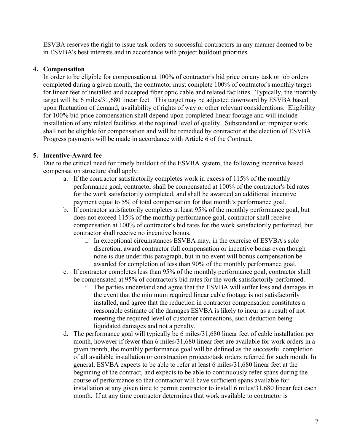ESVBA reserves the right to issue task orders to successful contractors in any manner deemed to be in ESVBA's best interests and in accordance with project buildout priorities.

### **4. Compensation**

In order to be eligible for compensation at 100% of contractor's bid price on any task or job orders completed during a given month, the contractor must complete 100% of contractor's monthly target for linear feet of installed and accepted fiber optic cable and related facilities. Typically, the monthly target will be 6 miles/31,680 linear feet. This target may be adjusted downward by ESVBA based upon fluctuation of demand, availability of rights of way or other relevant considerations. Eligibility for 100% bid price compensation shall depend upon completed linear footage and will include installation of any related facilities at the required level of quality. Substandard or improper work shall not be eligible for compensation and will be remedied by contractor at the election of ESVBA. Progress payments will be made in accordance with Article 6 of the Contract.

### **5. Incentive-Award fee**

Due to the critical need for timely buildout of the ESVBA system, the following incentive based compensation structure shall apply:

- a. If the contractor satisfactorily completes work in excess of 115% of the monthly performance goal, contractor shall be compensated at 100% of the contractor's bid rates for the work satisfactorily completed, and shall be awarded an additional incentive payment equal to 5% of total compensation for that month's performance goal.
- b. If contractor satisfactorily completes at least 95% of the monthly performance goal, but does not exceed 115% of the monthly performance goal, contractor shall receive compensation at 100% of contractor's bid rates for the work satisfactorily performed, but contractor shall receive no incentive bonus.
	- i. In exceptional circumstances ESVBA may, in the exercise of ESVBA's sole discretion, award contractor full compensation or incentive bonus even though none is due under this paragraph, but in no event will bonus compensation be awarded for completion of less than 90% of the monthly performance goal.
- c. If contractor completes less than 95% of the monthly performance goal, contractor shall be compensated at 95% of contractor's bid rates for the work satisfactorily performed.
	- i. The parties understand and agree that the ESVBA will suffer loss and damages in the event that the minimum required linear cable footage is not satisfactorily installed, and agree that the reduction in contractor compensation constitutes a reasonable estimate of the damages ESVBA is likely to incur as a result of not meeting the required level of customer connections, such deduction being liquidated damages and not a penalty.
- d. The performance goal will typically be 6 miles/31,680 linear feet of cable installation per month, however if fewer than 6 miles/31,680 linear feet are available for work orders in a given month, the monthly performance goal will be defined as the successful completion of all available installation or construction projects/task orders referred for such month. In general, ESVBA expects to be able to refer at least 6 miles/31,680 linear feet at the beginning of the contract, and expects to be able to continuously refer spans during the course of performance so that contractor will have sufficient spans available for installation at any given time to permit contractor to install 6 miles/31,680 linear feet each month. If at any time contractor determines that work available to contractor is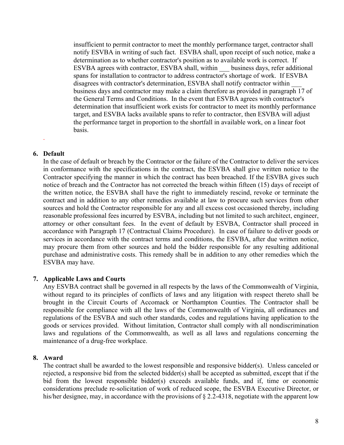insufficient to permit contractor to meet the monthly performance target, contractor shall notify ESVBA in writing of such fact. ESVBA shall, upon receipt of such notice, make a determination as to whether contractor's position as to available work is correct. If ESVBA agrees with contractor, ESVBA shall, within business days, refer additional spans for installation to contractor to address contractor's shortage of work. If ESVBA disagrees with contractor's determination, ESVBA shall notify contractor within \_\_\_ business days and contractor may make a claim therefore as provided in paragraph 17 of the General Terms and Conditions. In the event that ESVBA agrees with contractor's determination that insufficient work exists for contractor to meet its monthly performance target, and ESVBA lacks available spans to refer to contractor, then ESVBA will adjust the performance target in proportion to the shortfall in available work, on a linear foot basis.

#### **6. Default**

.

In the case of default or breach by the Contractor or the failure of the Contractor to deliver the services in conformance with the specifications in the contract, the ESVBA shall give written notice to the Contractor specifying the manner in which the contract has been breached. If the ESVBA gives such notice of breach and the Contractor has not corrected the breach within fifteen (15) days of receipt of the written notice, the ESVBA shall have the right to immediately rescind, revoke or terminate the contract and in addition to any other remedies available at law to procure such services from other sources and hold the Contractor responsible for any and all excess cost occasioned thereby, including reasonable professional fees incurred by ESVBA, including but not limited to such architect, engineer, attorney or other consultant fees. In the event of default by ESVBA, Contractor shall proceed in accordance with Paragraph 17 (Contractual Claims Procedure). In case of failure to deliver goods or services in accordance with the contract terms and conditions, the ESVBA, after due written notice, may procure them from other sources and hold the bidder responsible for any resulting additional purchase and administrative costs. This remedy shall be in addition to any other remedies which the ESVBA may have.

#### **7. Applicable Laws and Courts**

Any ESVBA contract shall be governed in all respects by the laws of the Commonwealth of Virginia, without regard to its principles of conflicts of laws and any litigation with respect thereto shall be brought in the Circuit Courts of Accomack or Northampton Counties. The Contractor shall be responsible for compliance with all the laws of the Commonwealth of Virginia, all ordinances and regulations of the ESVBA and such other standards, codes and regulations having application to the goods or services provided. Without limitation, Contractor shall comply with all nondiscrimination laws and regulations of the Commonwealth, as well as all laws and regulations concerning the maintenance of a drug-free workplace.

#### **8. Award**

The contract shall be awarded to the lowest responsible and responsive bidder(s). Unless canceled or rejected, a responsive bid from the selected bidder(s) shall be accepted as submitted, except that if the bid from the lowest responsible bidder(s) exceeds available funds, and if, time or economic considerations preclude re-solicitation of work of reduced scope, the ESVBA Executive Director, or his/her designee, may, in accordance with the provisions of § 2.2-4318, negotiate with the apparent low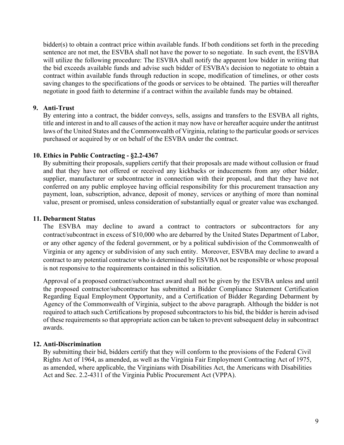bidder(s) to obtain a contract price within available funds. If both conditions set forth in the preceding sentence are not met, the ESVBA shall not have the power to so negotiate. In such event, the ESVBA will utilize the following procedure: The ESVBA shall notify the apparent low bidder in writing that the bid exceeds available funds and advise such bidder of ESVBA's decision to negotiate to obtain a contract within available funds through reduction in scope, modification of timelines, or other costs saving changes to the specifications of the goods or services to be obtained. The parties will thereafter negotiate in good faith to determine if a contract within the available funds may be obtained.

#### **9. Anti-Trust**

By entering into a contract, the bidder conveys, sells, assigns and transfers to the ESVBA all rights, title and interest in and to all causes of the action it may now have or hereafter acquire under the antitrust laws of the United States and the Commonwealth of Virginia, relating to the particular goods or services purchased or acquired by or on behalf of the ESVBA under the contract.

#### **10. Ethics in Public Contracting - §2.2-4367**

By submitting their proposals, suppliers certify that their proposals are made without collusion or fraud and that they have not offered or received any kickbacks or inducements from any other bidder, supplier, manufacturer or subcontractor in connection with their proposal, and that they have not conferred on any public employee having official responsibility for this procurement transaction any payment, loan, subscription, advance, deposit of money, services or anything of more than nominal value, present or promised, unless consideration of substantially equal or greater value was exchanged.

#### **11. Debarment Status**

The ESVBA may decline to award a contract to contractors or subcontractors for any contract/subcontract in excess of \$10,000 who are debarred by the United States Department of Labor, or any other agency of the federal government, or by a political subdivision of the Commonwealth of Virginia or any agency or subdivision of any such entity. Moreover, ESVBA may decline to award a contract to any potential contractor who is determined by ESVBA not be responsible or whose proposal is not responsive to the requirements contained in this solicitation.

Approval of a proposed contract/subcontract award shall not be given by the ESVBA unless and until the proposed contractor/subcontractor has submitted a Bidder Compliance Statement Certification Regarding Equal Employment Opportunity, and a Certification of Bidder Regarding Debarment by Agency of the Commonwealth of Virginia, subject to the above paragraph. Although the bidder is not required to attach such Certifications by proposed subcontractors to his bid, the bidder is herein advised of these requirements so that appropriate action can be taken to prevent subsequent delay in subcontract awards.

### **12. Anti-Discrimination**

By submitting their bid, bidders certify that they will conform to the provisions of the Federal Civil Rights Act of 1964, as amended, as well as the Virginia Fair Employment Contracting Act of 1975, as amended, where applicable, the Virginians with Disabilities Act, the Americans with Disabilities Act and Sec. 2.2-4311 of the Virginia Public Procurement Act (VPPA).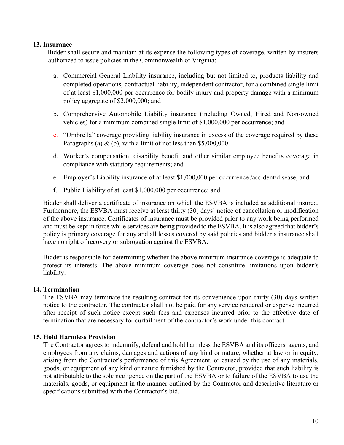### **13. Insurance**

Bidder shall secure and maintain at its expense the following types of coverage, written by insurers authorized to issue policies in the Commonwealth of Virginia:

- a. Commercial General Liability insurance, including but not limited to, products liability and completed operations, contractual liability, independent contractor, for a combined single limit of at least \$1,000,000 per occurrence for bodily injury and property damage with a minimum policy aggregate of \$2,000,000; and
- b. Comprehensive Automobile Liability insurance (including Owned, Hired and Non-owned vehicles) for a minimum combined single limit of \$1,000,000 per occurrence; and
- c. "Umbrella" coverage providing liability insurance in excess of the coverage required by these Paragraphs (a)  $\&$  (b), with a limit of not less than \$5,000,000.
- d. Worker's compensation, disability benefit and other similar employee benefits coverage in compliance with statutory requirements; and
- e. Employer's Liability insurance of at least \$1,000,000 per occurrence /accident/disease; and
- f. Public Liability of at least \$1,000,000 per occurrence; and

Bidder shall deliver a certificate of insurance on which the ESVBA is included as additional insured. Furthermore, the ESVBA must receive at least thirty (30) days' notice of cancellation or modification of the above insurance. Certificates of insurance must be provided prior to any work being performed and must be kept in force while services are being provided to the ESVBA. It is also agreed that bidder's policy is primary coverage for any and all losses covered by said policies and bidder's insurance shall have no right of recovery or subrogation against the ESVBA.

Bidder is responsible for determining whether the above minimum insurance coverage is adequate to protect its interests. The above minimum coverage does not constitute limitations upon bidder's liability.

### **14. Termination**

The ESVBA may terminate the resulting contract for its convenience upon thirty (30) days written notice to the contractor. The contractor shall not be paid for any service rendered or expense incurred after receipt of such notice except such fees and expenses incurred prior to the effective date of termination that are necessary for curtailment of the contractor's work under this contract.

### **15. Hold Harmless Provision**

The Contractor agrees to indemnify, defend and hold harmless the ESVBA and its officers, agents, and employees from any claims, damages and actions of any kind or nature, whether at law or in equity, arising from the Contractor's performance of this Agreement, or caused by the use of any materials, goods, or equipment of any kind or nature furnished by the Contractor, provided that such liability is not attributable to the sole negligence on the part of the ESVBA or to failure of the ESVBA to use the materials, goods, or equipment in the manner outlined by the Contractor and descriptive literature or specifications submitted with the Contractor's bid.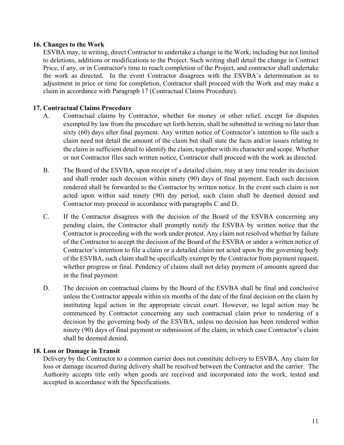### **16. Changes to the Work**

ESVBA may, in writing, direct Contractor to undertake a change in the Work, including but not limited to deletions, additions or modifications to the Project. Such writing shall detail the change in Contract Price, if any, or in Contractor's time to reach completion of the Project, and contractor shall undertake the work as directed. In the event Contractor disagrees with the ESVBA's determination as to adjustment in price or time for completion, Contractor shall proceed with the Work and may make a claim in accordance with Paragraph 17 (Contractual Claims Procedure).

### **17. Contractual Claims Procedure**

- A. Contractual claims by Contractor, whether for money or other relief, except for disputes exempted by law from the procedure set forth herein, shall be submitted in writing no later than sixty (60) days after final payment. Any written notice of Contractor's intention to file such a claim need not detail the amount of the claim but shall state the facts and/or issues relating to the claim in sufficient detail to identify the claim, together with its character and scope. Whether or not Contractor files such written notice, Contractor shall proceed with the work as directed.
- B. The Board of the ESVBA, upon receipt of a detailed claim, may at any time render its decision and shall render such decision within ninety (90) days of final payment. Each such decision rendered shall be forwarded to the Contractor by written notice. In the event such claim is not acted upon within said ninety (90) day period, such claim shall be deemed denied and Contractor may proceed in accordance with paragraphs C and D.
- C. If the Contractor disagrees with the decision of the Board of the ESVBA concerning any pending claim, the Contractor shall promptly notify the ESVBA by written notice that the Contractor is proceeding with the work under protest. Any claim not resolved whether by failure of the Contractor to accept the decision of the Board of the ESVBA or under a written notice of Contractor's intention to file a claim or a detailed claim not acted upon by the governing body of the ESVBA, such claim shall be specifically exempt by the Contractor from payment request, whether progress or final. Pendency of claims shall not delay payment of amounts agreed due in the final payment.
- D. The decision on contractual claims by the Board of the ESVBA shall be final and conclusive unless the Contractor appeals within six months of the date of the final decision on the claim by instituting legal action in the appropriate circuit court. However, no legal action may be commenced by Contractor concerning any such contractual claim prior to rendering of a decision by the governing body of the ESVBA, unless no decision has been rendered within ninety (90) days of final payment or submission of the claim, in which case Contractor's claim shall be deemed denied.

#### **18. Loss or Damage in Transit**

Delivery by the Contractor to a common carrier does not constitute delivery to ESVBA. Any claim for loss or damage incurred during delivery shall be resolved between the Contractor and the carrier. The Authority accepts title only when goods are received and incorporated into the work, tested and accepted in accordance with the Specifications.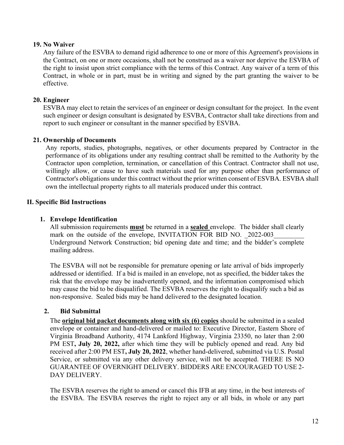### **19. No Waiver**

Any failure of the ESVBA to demand rigid adherence to one or more of this Agreement's provisions in the Contract, on one or more occasions, shall not be construed as a waiver nor deprive the ESVBA of the right to insist upon strict compliance with the terms of this Contract. Any waiver of a term of this Contract, in whole or in part, must be in writing and signed by the part granting the waiver to be effective.

### **20. Engineer**

ESVBA may elect to retain the services of an engineer or design consultant for the project. In the event such engineer or design consultant is designated by ESVBA, Contractor shall take directions from and report to such engineer or consultant in the manner specified by ESVBA.

#### **21. Ownership of Documents**

Any reports, studies, photographs, negatives, or other documents prepared by Contractor in the performance of its obligations under any resulting contract shall be remitted to the Authority by the Contractor upon completion, termination, or cancellation of this Contract. Contractor shall not use, willingly allow, or cause to have such materials used for any purpose other than performance of Contractor's obligations under this contract without the prior written consent of ESVBA. ESVBA shall own the intellectual property rights to all materials produced under this contract.

### **II. Specific Bid Instructions**

### **1. Envelope Identification**

All submission requirements **must** be returned in a **sealed** envelope. The bidder shall clearly mark on the outside of the envelope, INVITATION FOR BID NO. 2022-003 Underground Network Construction; bid opening date and time; and the bidder's complete mailing address.

The ESVBA will not be responsible for premature opening or late arrival of bids improperly addressed or identified. If a bid is mailed in an envelope, not as specified, the bidder takes the risk that the envelope may be inadvertently opened, and the information compromised which may cause the bid to be disqualified. The ESVBA reserves the right to disqualify such a bid as non-responsive. Sealed bids may be hand delivered to the designated location.

### **2. Bid Submittal**

The **original bid packet documents along with six (6) copies** should be submitted in a sealed envelope or container and hand-delivered or mailed to: Executive Director, Eastern Shore of Virginia Broadband Authority, 4174 Lankford Highway, Virginia 23350, no later than 2:00 PM EST**, July 20, 2022,** after which time they will be publicly opened and read. Any bid received after 2:00 PM EST**, July 20, 2022**, whether hand-delivered, submitted via U.S. Postal Service, or submitted via any other delivery service, will not be accepted. THERE IS NO GUARANTEE OF OVERNIGHT DELIVERY. BIDDERS ARE ENCOURAGED TO USE 2- DAY DELIVERY.

The ESVBA reserves the right to amend or cancel this IFB at any time, in the best interests of the ESVBA. The ESVBA reserves the right to reject any or all bids, in whole or any part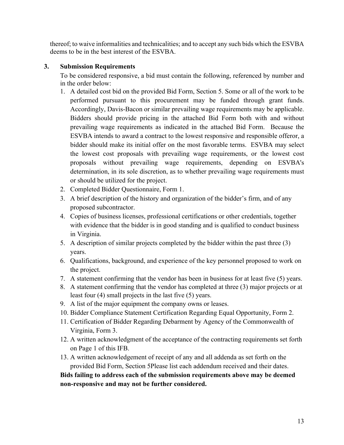thereof; to waive informalities and technicalities; and to accept any such bids which the ESVBA deems to be in the best interest of the ESVBA.

### **3. Submission Requirements**

To be considered responsive, a bid must contain the following, referenced by number and in the order below:

- 1. A detailed cost bid on the provided Bid Form, Section 5. Some or all of the work to be performed pursuant to this procurement may be funded through grant funds. Accordingly, Davis-Bacon or similar prevailing wage requirements may be applicable. Bidders should provide pricing in the attached Bid Form both with and without prevailing wage requirements as indicated in the attached Bid Form. Because the ESVBA intends to award a contract to the lowest responsive and responsible offeror, a bidder should make its initial offer on the most favorable terms. ESVBA may select the lowest cost proposals with prevailing wage requirements, or the lowest cost proposals without prevailing wage requirements, depending on ESVBA's determination, in its sole discretion, as to whether prevailing wage requirements must or should be utilized for the project.
- 2. Completed Bidder Questionnaire, Form 1.
- 3. A brief description of the history and organization of the bidder's firm, and of any proposed subcontractor.
- 4. Copies of business licenses, professional certifications or other credentials, together with evidence that the bidder is in good standing and is qualified to conduct business in Virginia.
- 5. A description of similar projects completed by the bidder within the past three (3) years.
- 6. Qualifications, background, and experience of the key personnel proposed to work on the project.
- 7. A statement confirming that the vendor has been in business for at least five (5) years.
- 8. A statement confirming that the vendor has completed at three (3) major projects or at least four (4) small projects in the last five (5) years.
- 9. A list of the major equipment the company owns or leases.
- 10. Bidder Compliance Statement Certification Regarding Equal Opportunity, Form 2.
- 11. Certification of Bidder Regarding Debarment by Agency of the Commonwealth of Virginia, Form 3.
- 12. A written acknowledgment of the acceptance of the contracting requirements set forth on Page 1 of this IFB.
- 13. A written acknowledgement of receipt of any and all addenda as set forth on the provided Bid Form, Section 5Please list each addendum received and their dates.

# **Bids failing to address each of the submission requirements above may be deemed non-responsive and may not be further considered.**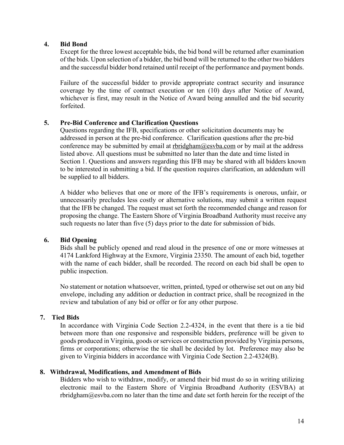#### **4. Bid Bond**

Except for the three lowest acceptable bids, the bid bond will be returned after examination of the bids. Upon selection of a bidder, the bid bond will be returned to the other two bidders and the successful bidder bond retained until receipt of the performance and payment bonds.

Failure of the successful bidder to provide appropriate contract security and insurance coverage by the time of contract execution or ten (10) days after Notice of Award, whichever is first, may result in the Notice of Award being annulled and the bid security forfeited.

#### **5. Pre-Bid Conference and Clarification Questions**

Questions regarding the IFB, specifications or other solicitation documents may be addressed in person at the pre-bid conference. Clarification questions after the pre-bid conference may be submitted by email at rbridgham@esvba.com or by mail at the address listed above. All questions must be submitted no later than the date and time listed in Section 1. Questions and answers regarding this IFB may be shared with all bidders known to be interested in submitting a bid. If the question requires clarification, an addendum will be supplied to all bidders.

A bidder who believes that one or more of the IFB's requirements is onerous, unfair, or unnecessarily precludes less costly or alternative solutions, may submit a written request that the IFB be changed. The request must set forth the recommended change and reason for proposing the change. The Eastern Shore of Virginia Broadband Authority must receive any such requests no later than five (5) days prior to the date for submission of bids.

### **6. Bid Opening**

Bids shall be publicly opened and read aloud in the presence of one or more witnesses at 4174 Lankford Highway at the Exmore, Virginia 23350. The amount of each bid, together with the name of each bidder, shall be recorded. The record on each bid shall be open to public inspection.

No statement or notation whatsoever, written, printed, typed or otherwise set out on any bid envelope, including any addition or deduction in contract price, shall be recognized in the review and tabulation of any bid or offer or for any other purpose.

### **7. Tied Bids**

In accordance with Virginia Code Section 2.2-4324, in the event that there is a tie bid between more than one responsive and responsible bidders, preference will be given to goods produced in Virginia, goods or services or construction provided by Virginia persons, firms or corporations; otherwise the tie shall be decided by lot. Preference may also be given to Virginia bidders in accordance with Virginia Code Section 2.2-4324(B).

#### **8. Withdrawal, Modifications, and Amendment of Bids**

Bidders who wish to withdraw, modify, or amend their bid must do so in writing utilizing electronic mail to the Eastern Shore of Virginia Broadband Authority (ESVBA) at rbridgham@esvba.com no later than the time and date set forth herein for the receipt of the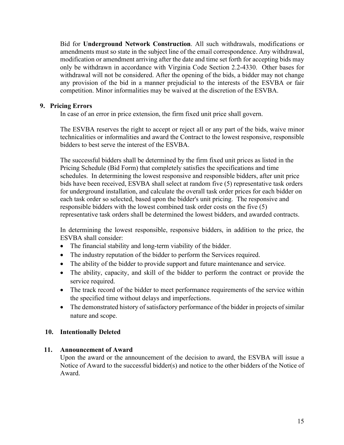Bid for **Underground Network Construction**. All such withdrawals, modifications or amendments must so state in the subject line of the email correspondence. Any withdrawal, modification or amendment arriving after the date and time set forth for accepting bids may only be withdrawn in accordance with Virginia Code Section 2.2-4330. Other bases for withdrawal will not be considered. After the opening of the bids, a bidder may not change any provision of the bid in a manner prejudicial to the interests of the ESVBA or fair competition. Minor informalities may be waived at the discretion of the ESVBA.

#### **9. Pricing Errors**

In case of an error in price extension, the firm fixed unit price shall govern.

The ESVBA reserves the right to accept or reject all or any part of the bids, waive minor technicalities or informalities and award the Contract to the lowest responsive, responsible bidders to best serve the interest of the ESVBA.

The successful bidders shall be determined by the firm fixed unit prices as listed in the Pricing Schedule (Bid Form) that completely satisfies the specifications and time schedules. In determining the lowest responsive and responsible bidders, after unit price bids have been received, ESVBA shall select at random five (5) representative task orders for underground installation, and calculate the overall task order prices for each bidder on each task order so selected, based upon the bidder's unit pricing. The responsive and responsible bidders with the lowest combined task order costs on the five (5) representative task orders shall be determined the lowest bidders, and awarded contracts.

In determining the lowest responsible, responsive bidders, in addition to the price, the ESVBA shall consider:

- The financial stability and long-term viability of the bidder.
- The industry reputation of the bidder to perform the Services required.
- The ability of the bidder to provide support and future maintenance and service.
- The ability, capacity, and skill of the bidder to perform the contract or provide the service required.
- The track record of the bidder to meet performance requirements of the service within the specified time without delays and imperfections.
- The demonstrated history of satisfactory performance of the bidder in projects of similar nature and scope.

### **10. Intentionally Deleted**

#### **11. Announcement of Award**

Upon the award or the announcement of the decision to award, the ESVBA will issue a Notice of Award to the successful bidder(s) and notice to the other bidders of the Notice of Award.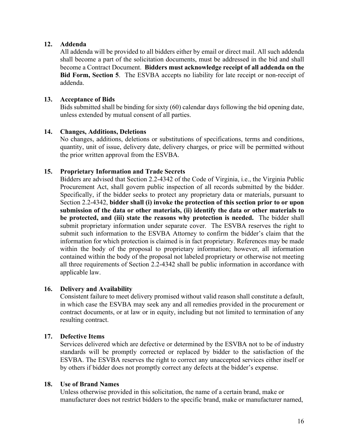#### **12. Addenda**

All addenda will be provided to all bidders either by email or direct mail. All such addenda shall become a part of the solicitation documents, must be addressed in the bid and shall become a Contract Document. **Bidders must acknowledge receipt of all addenda on the Bid Form, Section 5**. The ESVBA accepts no liability for late receipt or non-receipt of addenda.

#### **13. Acceptance of Bids**

Bids submitted shall be binding for sixty (60) calendar days following the bid opening date, unless extended by mutual consent of all parties.

#### **14. Changes, Additions, Deletions**

No changes, additions, deletions or substitutions of specifications, terms and conditions, quantity, unit of issue, delivery date, delivery charges, or price will be permitted without the prior written approval from the ESVBA.

#### **15. Proprietary Information and Trade Secrets**

Bidders are advised that Section 2.2-4342 of the Code of Virginia, i.e., the Virginia Public Procurement Act, shall govern public inspection of all records submitted by the bidder. Specifically, if the bidder seeks to protect any proprietary data or materials, pursuant to Section 2.2-4342, **bidder shall (i) invoke the protection of this section prior to or upon submission of the data or other materials, (ii) identify the data or other materials to be protected, and (iii) state the reasons why protection is needed.** The bidder shall submit proprietary information under separate cover. The ESVBA reserves the right to submit such information to the ESVBA Attorney to confirm the bidder's claim that the information for which protection is claimed is in fact proprietary. References may be made within the body of the proposal to proprietary information; however, all information contained within the body of the proposal not labeled proprietary or otherwise not meeting all three requirements of Section 2.2-4342 shall be public information in accordance with applicable law.

#### **16. Delivery and Availability**

Consistent failure to meet delivery promised without valid reason shall constitute a default, in which case the ESVBA may seek any and all remedies provided in the procurement or contract documents, or at law or in equity, including but not limited to termination of any resulting contract.

#### **17. Defective Items**

Services delivered which are defective or determined by the ESVBA not to be of industry standards will be promptly corrected or replaced by bidder to the satisfaction of the ESVBA. The ESVBA reserves the right to correct any unaccepted services either itself or by others if bidder does not promptly correct any defects at the bidder's expense.

#### **18. Use of Brand Names**

Unless otherwise provided in this solicitation, the name of a certain brand, make or manufacturer does not restrict bidders to the specific brand, make or manufacturer named,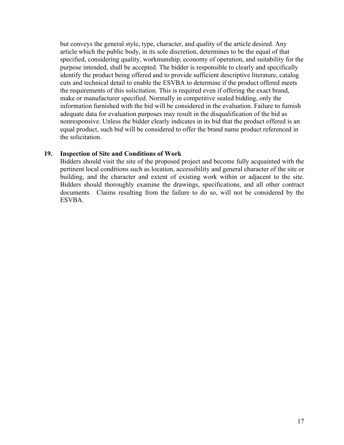but conveys the general style, type, character, and quality of the article desired. Any article which the public body, in its sole discretion, determines to be the equal of that specified, considering quality, workmanship, economy of operation, and suitability for the purpose intended, shall be accepted. The bidder is responsible to clearly and specifically identify the product being offered and to provide sufficient descriptive literature, catalog cuts and technical detail to enable the ESVBA to determine if the product offered meets the requirements of this solicitation. This is required even if offering the exact brand, make or manufacturer specified. Normally in competitive sealed bidding, only the information furnished with the bid will be considered in the evaluation. Failure to furnish adequate data for evaluation purposes may result in the disqualification of the bid as nonresponsive. Unless the bidder clearly indicates in its bid that the product offered is an equal product, such bid will be considered to offer the brand name product referenced in the solicitation.

#### **19. Inspection of Site and Conditions of Work**

Bidders should visit the site of the proposed project and become fully acquainted with the pertinent local conditions such as location, accessibility and general character of the site or building, and the character and extent of existing work within or adjacent to the site. Bidders should thoroughly examine the drawings, specifications, and all other contract documents. Claims resulting from the failure to do so, will not be considered by the ESVBA.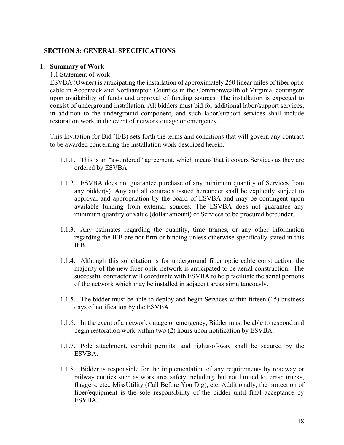### **SECTION 3: GENERAL SPECIFICATIONS**

#### **1. Summary of Work**

1.1 Statement of work

ESVBA (Owner) is anticipating the installation of approximately 250 linear miles of fiber optic cable in Accomack and Northampton Counties in the Commonwealth of Virginia, contingent upon availability of funds and approval of funding sources. The installation is expected to consist of underground installation. All bidders must bid for additional labor/support services, in addition to the underground component, and such labor/support services shall include restoration work in the event of network outage or emergency.

This Invitation for Bid (IFB) sets forth the terms and conditions that will govern any contract to be awarded concerning the installation work described herein.

- 1.1.1. This is an "as-ordered" agreement, which means that it covers Services as they are ordered by ESVBA.
- 1.1.2. ESVBA does not guarantee purchase of any minimum quantity of Services from any bidder(s). Any and all contracts issued hereunder shall be explicitly subject to approval and appropriation by the board of ESVBA and may be contingent upon available funding from external sources. The ESVBA does not guarantee any minimum quantity or value (dollar amount) of Services to be procured hereunder.
- 1.1.3. Any estimates regarding the quantity, time frames, or any other information regarding the IFB are not firm or binding unless otherwise specifically stated in this IFB.
- 1.1.4. Although this solicitation is for underground fiber optic cable construction, the majority of the new fiber optic network is anticipated to be aerial construction. The successful contractor will coordinate with ESVBA to help facilitate the aerial portions of the network which may be installed in adjacent areas simultaneously.
- 1.1.5. The bidder must be able to deploy and begin Services within fifteen (15) business days of notification by the ESVBA.
- 1.1.6. In the event of a network outage or emergency, Bidder must be able to respond and begin restoration work within two (2) hours upon notification by ESVBA.
- 1.1.7. Pole attachment, conduit permits, and rights-of-way shall be secured by the ESVBA.
- 1.1.8. Bidder is responsible for the implementation of any requirements by roadway or railway entities such as work area safety including, but not limited to, crash trucks, flaggers, etc., MissUtility (Call Before You Dig), etc. Additionally, the protection of fiber/equipment is the sole responsibility of the bidder until final acceptance by ESVBA.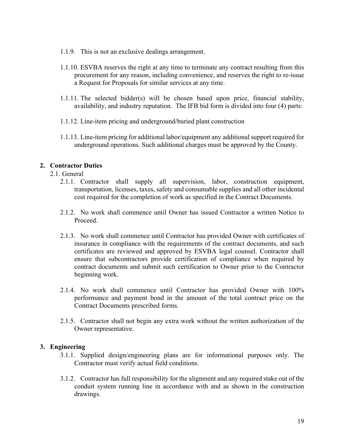- 1.1.9. This is not an exclusive dealings arrangement.
- 1.1.10. ESVBA reserves the right at any time to terminate any contract resulting from this procurement for any reason, including convenience, and reserves the right to re-issue a Request for Proposals for similar services at any time.
- 1.1.11. The selected bidder(s) will be chosen based upon price, financial stability, availability, and industry reputation. The IFB bid form is divided into four (4) parts:
- 1.1.12. Line-item pricing and underground/buried plant construction
- 1.1.13. Line-item pricing for additional labor/equipment any additional support required for underground operations. Such additional charges must be approved by the County.

### **2. Contractor Duties**

- 2.1. General
	- 2.1.1. Contractor shall supply all supervision, labor, construction equipment, transportation, licenses, taxes, safety and consumable supplies and all other incidental cost required for the completion of work as specified in the Contract Documents.
	- 2.1.2. No work shall commence until Owner has issued Contractor a written Notice to Proceed.
	- 2.1.3. No work shall commence until Contractor has provided Owner with certificates of insurance in compliance with the requirements of the contract documents, and such certificates are reviewed and approved by ESVBA legal counsel. Contractor shall ensure that subcontractors provide certification of compliance when required by contract documents and submit such certification to Owner prior to the Contractor beginning work.
	- 2.1.4. No work shall commence until Contractor has provided Owner with 100% performance and payment bond in the amount of the total contract price on the Contract Documents prescribed forms.
	- 2.1.5. Contractor shall not begin any extra work without the written authorization of the Owner representative.

### **3. Engineering**

- 3.1.1. Supplied design/engineering plans are for informational purposes only. The Contractor must verify actual field conditions.
- 3.1.2. Contractor has full responsibility for the alignment and any required stake out of the conduit system running line in accordance with and as shown in the construction drawings.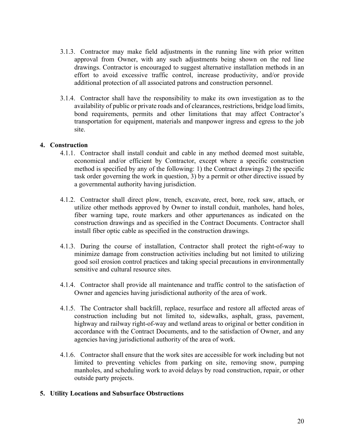- 3.1.3. Contractor may make field adjustments in the running line with prior written approval from Owner, with any such adjustments being shown on the red line drawings. Contractor is encouraged to suggest alternative installation methods in an effort to avoid excessive traffic control, increase productivity, and/or provide additional protection of all associated patrons and construction personnel.
- 3.1.4. Contractor shall have the responsibility to make its own investigation as to the availability of public or private roads and of clearances, restrictions, bridge load limits, bond requirements, permits and other limitations that may affect Contractor's transportation for equipment, materials and manpower ingress and egress to the job site.

#### **4. Construction**

- 4.1.1. Contractor shall install conduit and cable in any method deemed most suitable, economical and/or efficient by Contractor, except where a specific construction method is specified by any of the following: 1) the Contract drawings 2) the specific task order governing the work in question, 3) by a permit or other directive issued by a governmental authority having jurisdiction.
- 4.1.2. Contractor shall direct plow, trench, excavate, erect, bore, rock saw, attach, or utilize other methods approved by Owner to install conduit, manholes, hand holes, fiber warning tape, route markers and other appurtenances as indicated on the construction drawings and as specified in the Contract Documents. Contractor shall install fiber optic cable as specified in the construction drawings.
- 4.1.3. During the course of installation, Contractor shall protect the right-of-way to minimize damage from construction activities including but not limited to utilizing good soil erosion control practices and taking special precautions in environmentally sensitive and cultural resource sites.
- 4.1.4. Contractor shall provide all maintenance and traffic control to the satisfaction of Owner and agencies having jurisdictional authority of the area of work.
- 4.1.5. The Contractor shall backfill, replace, resurface and restore all affected areas of construction including but not limited to, sidewalks, asphalt, grass, pavement, highway and railway right-of-way and wetland areas to original or better condition in accordance with the Contract Documents, and to the satisfaction of Owner, and any agencies having jurisdictional authority of the area of work.
- 4.1.6. Contractor shall ensure that the work sites are accessible for work including but not limited to preventing vehicles from parking on site, removing snow, pumping manholes, and scheduling work to avoid delays by road construction, repair, or other outside party projects.

#### **5. Utility Locations and Subsurface Obstructions**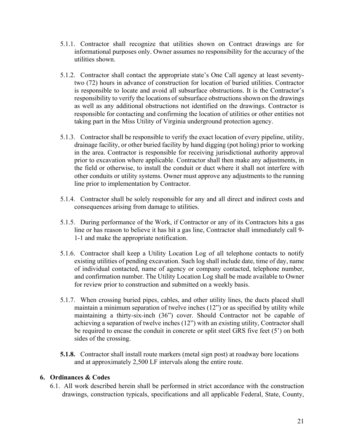- 5.1.1. Contractor shall recognize that utilities shown on Contract drawings are for informational purposes only. Owner assumes no responsibility for the accuracy of the utilities shown.
- 5.1.2. Contractor shall contact the appropriate state's One Call agency at least seventytwo (72) hours in advance of construction for location of buried utilities. Contractor is responsible to locate and avoid all subsurface obstructions. It is the Contractor's responsibility to verify the locations of subsurface obstructions shown on the drawings as well as any additional obstructions not identified on the drawings. Contractor is responsible for contacting and confirming the location of utilities or other entities not taking part in the Miss Utility of Virginia underground protection agency.
- 5.1.3. Contractor shall be responsible to verify the exact location of every pipeline, utility, drainage facility, or other buried facility by hand digging (pot holing) prior to working in the area. Contractor is responsible for receiving jurisdictional authority approval prior to excavation where applicable. Contractor shall then make any adjustments, in the field or otherwise, to install the conduit or duct where it shall not interfere with other conduits or utility systems. Owner must approve any adjustments to the running line prior to implementation by Contractor.
- 5.1.4. Contractor shall be solely responsible for any and all direct and indirect costs and consequences arising from damage to utilities.
- 5.1.5. During performance of the Work, if Contractor or any of its Contractors hits a gas line or has reason to believe it has hit a gas line, Contractor shall immediately call 9- 1-1 and make the appropriate notification.
- 5.1.6. Contractor shall keep a Utility Location Log of all telephone contacts to notify existing utilities of pending excavation. Such log shall include date, time of day, name of individual contacted, name of agency or company contacted, telephone number, and confirmation number. The Utility Location Log shall be made available to Owner for review prior to construction and submitted on a weekly basis.
- 5.1.7. When crossing buried pipes, cables, and other utility lines, the ducts placed shall maintain a minimum separation of twelve inches (12") or as specified by utility while maintaining a thirty-six-inch (36") cover. Should Contractor not be capable of achieving a separation of twelve inches (12") with an existing utility, Contractor shall be required to encase the conduit in concrete or split steel GRS five feet (5') on both sides of the crossing.
- **5.1.8.** Contractor shall install route markers (metal sign post) at roadway bore locations and at approximately 2,500 LF intervals along the entire route.

### **6. Ordinances & Codes**

6.1. All work described herein shall be performed in strict accordance with the construction drawings, construction typicals, specifications and all applicable Federal, State, County,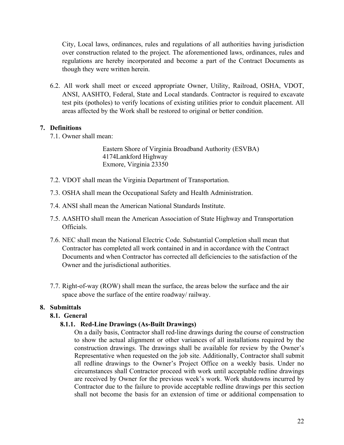City, Local laws, ordinances, rules and regulations of all authorities having jurisdiction over construction related to the project. The aforementioned laws, ordinances, rules and regulations are hereby incorporated and become a part of the Contract Documents as though they were written herein.

6.2. All work shall meet or exceed appropriate Owner, Utility, Railroad, OSHA, VDOT, ANSI, AASHTO, Federal, State and Local standards. Contractor is required to excavate test pits (potholes) to verify locations of existing utilities prior to conduit placement. All areas affected by the Work shall be restored to original or better condition.

### **7. Definitions**

7.1. Owner shall mean:

Eastern Shore of Virginia Broadband Authority (ESVBA) 4174Lankford Highway Exmore, Virginia 23350

- 7.2. VDOT shall mean the Virginia Department of Transportation.
- 7.3. OSHA shall mean the Occupational Safety and Health Administration.
- 7.4. ANSI shall mean the American National Standards Institute.
- 7.5. AASHTO shall mean the American Association of State Highway and Transportation Officials.
- 7.6. NEC shall mean the National Electric Code. Substantial Completion shall mean that Contractor has completed all work contained in and in accordance with the Contract Documents and when Contractor has corrected all deficiencies to the satisfaction of the Owner and the jurisdictional authorities.
- 7.7. Right-of-way (ROW) shall mean the surface, the areas below the surface and the air space above the surface of the entire roadway/ railway.

### **8. Submittals**

### **8.1. General**

### **8.1.1. Red-Line Drawings (As-Built Drawings)**

On a daily basis, Contractor shall red-line drawings during the course of construction to show the actual alignment or other variances of all installations required by the construction drawings. The drawings shall be available for review by the Owner's Representative when requested on the job site. Additionally, Contractor shall submit all redline drawings to the Owner's Project Office on a weekly basis. Under no circumstances shall Contractor proceed with work until acceptable redline drawings are received by Owner for the previous week's work. Work shutdowns incurred by Contractor due to the failure to provide acceptable redline drawings per this section shall not become the basis for an extension of time or additional compensation to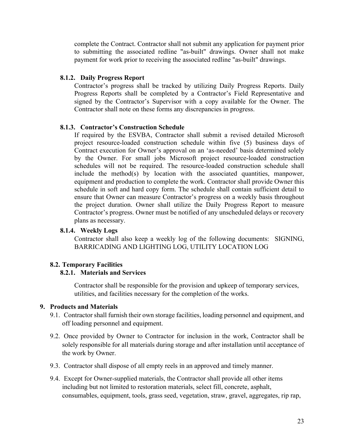complete the Contract. Contractor shall not submit any application for payment prior to submitting the associated redline "as-built" drawings. Owner shall not make payment for work prior to receiving the associated redline "as-built" drawings.

#### **8.1.2. Daily Progress Report**

Contractor's progress shall be tracked by utilizing Daily Progress Reports. Daily Progress Reports shall be completed by a Contractor's Field Representative and signed by the Contractor's Supervisor with a copy available for the Owner. The Contractor shall note on these forms any discrepancies in progress.

#### **8.1.3. Contractor's Construction Schedule**

If required by the ESVBA, Contractor shall submit a revised detailed Microsoft project resource-loaded construction schedule within five (5) business days of Contract execution for Owner's approval on an 'as-needed' basis determined solely by the Owner. For small jobs Microsoft project resource-loaded construction schedules will not be required. The resource-loaded construction schedule shall include the method(s) by location with the associated quantities, manpower, equipment and production to complete the work. Contractor shall provide Owner this schedule in soft and hard copy form. The schedule shall contain sufficient detail to ensure that Owner can measure Contractor's progress on a weekly basis throughout the project duration. Owner shall utilize the Daily Progress Report to measure Contractor's progress. Owner must be notified of any unscheduled delays or recovery plans as necessary.

#### **8.1.4. Weekly Logs**

Contractor shall also keep a weekly log of the following documents: SIGNING, BARRICADING AND LIGHTING LOG, UTILITY LOCATION LOG

### **8.2. Temporary Facilities**

### **8.2.1. Materials and Services**

Contractor shall be responsible for the provision and upkeep of temporary services, utilities, and facilities necessary for the completion of the works.

#### **9. Products and Materials**

- 9.1. Contractor shall furnish their own storage facilities, loading personnel and equipment, and off loading personnel and equipment.
- 9.2. Once provided by Owner to Contractor for inclusion in the work, Contractor shall be solely responsible for all materials during storage and after installation until acceptance of the work by Owner.
- 9.3. Contractor shall dispose of all empty reels in an approved and timely manner.
- 9.4. Except for Owner-supplied materials, the Contractor shall provide all other items including but not limited to restoration materials, select fill, concrete, asphalt, consumables, equipment, tools, grass seed, vegetation, straw, gravel, aggregates, rip rap,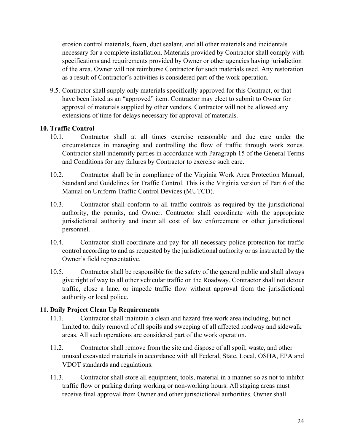erosion control materials, foam, duct sealant, and all other materials and incidentals necessary for a complete installation. Materials provided by Contractor shall comply with specifications and requirements provided by Owner or other agencies having jurisdiction of the area. Owner will not reimburse Contractor for such materials used. Any restoration as a result of Contractor's activities is considered part of the work operation.

9.5. Contractor shall supply only materials specifically approved for this Contract, or that have been listed as an "approved" item. Contractor may elect to submit to Owner for approval of materials supplied by other vendors. Contractor will not be allowed any extensions of time for delays necessary for approval of materials.

# **10. Traffic Control**

- 10.1. Contractor shall at all times exercise reasonable and due care under the circumstances in managing and controlling the flow of traffic through work zones. Contractor shall indemnify parties in accordance with Paragraph 15 of the General Terms and Conditions for any failures by Contractor to exercise such care.
- 10.2. Contractor shall be in compliance of the Virginia Work Area Protection Manual, Standard and Guidelines for Traffic Control. This is the Virginia version of Part 6 of the Manual on Uniform Traffic Control Devices (MUTCD).
- 10.3. Contractor shall conform to all traffic controls as required by the jurisdictional authority, the permits, and Owner. Contractor shall coordinate with the appropriate jurisdictional authority and incur all cost of law enforcement or other jurisdictional personnel.
- 10.4. Contractor shall coordinate and pay for all necessary police protection for traffic control according to and as requested by the jurisdictional authority or as instructed by the Owner's field representative.
- 10.5. Contractor shall be responsible for the safety of the general public and shall always give right of way to all other vehicular traffic on the Roadway. Contractor shall not detour traffic, close a lane, or impede traffic flow without approval from the jurisdictional authority or local police.

### **11. Daily Project Clean Up Requirements**

- 11.1. Contractor shall maintain a clean and hazard free work area including, but not limited to, daily removal of all spoils and sweeping of all affected roadway and sidewalk areas. All such operations are considered part of the work operation.
- 11.2. Contractor shall remove from the site and dispose of all spoil, waste, and other unused excavated materials in accordance with all Federal, State, Local, OSHA, EPA and VDOT standards and regulations.
- 11.3. Contractor shall store all equipment, tools, material in a manner so as not to inhibit traffic flow or parking during working or non-working hours. All staging areas must receive final approval from Owner and other jurisdictional authorities. Owner shall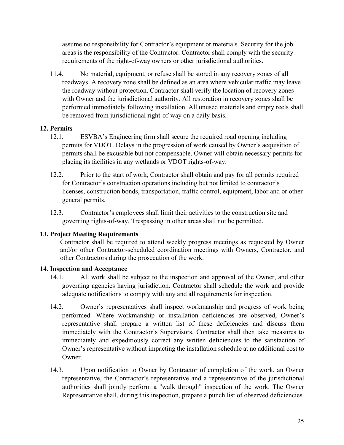assume no responsibility for Contractor's equipment or materials. Security for the job areas is the responsibility of the Contractor. Contractor shall comply with the security requirements of the right-of-way owners or other jurisdictional authorities.

11.4. No material, equipment, or refuse shall be stored in any recovery zones of all roadways. A recovery zone shall be defined as an area where vehicular traffic may leave the roadway without protection. Contractor shall verify the location of recovery zones with Owner and the jurisdictional authority. All restoration in recovery zones shall be performed immediately following installation. All unused materials and empty reels shall be removed from jurisdictional right-of-way on a daily basis.

# **12. Permits**

- 12.1. ESVBA's Engineering firm shall secure the required road opening including permits for VDOT. Delays in the progression of work caused by Owner's acquisition of permits shall be excusable but not compensable. Owner will obtain necessary permits for placing its facilities in any wetlands or VDOT rights-of-way.
- 12.2. Prior to the start of work, Contractor shall obtain and pay for all permits required for Contractor's construction operations including but not limited to contractor's licenses, construction bonds, transportation, traffic control, equipment, labor and or other general permits.
- 12.3. Contractor's employees shall limit their activities to the construction site and governing rights-of-way. Trespassing in other areas shall not be permitted.

# **13. Project Meeting Requirements**

Contractor shall be required to attend weekly progress meetings as requested by Owner and/or other Contractor-scheduled coordination meetings with Owners, Contractor, and other Contractors during the prosecution of the work.

### **14. Inspection and Acceptance**

- 14.1. All work shall be subject to the inspection and approval of the Owner, and other governing agencies having jurisdiction. Contractor shall schedule the work and provide adequate notifications to comply with any and all requirements for inspection.
- 14.2. Owner's representatives shall inspect workmanship and progress of work being performed. Where workmanship or installation deficiencies are observed, Owner's representative shall prepare a written list of these deficiencies and discuss them immediately with the Contractor's Supervisors. Contractor shall then take measures to immediately and expeditiously correct any written deficiencies to the satisfaction of Owner's representative without impacting the installation schedule at no additional cost to Owner.
- 14.3. Upon notification to Owner by Contractor of completion of the work, an Owner representative, the Contractor's representative and a representative of the jurisdictional authorities shall jointly perform a "walk through" inspection of the work. The Owner Representative shall, during this inspection, prepare a punch list of observed deficiencies.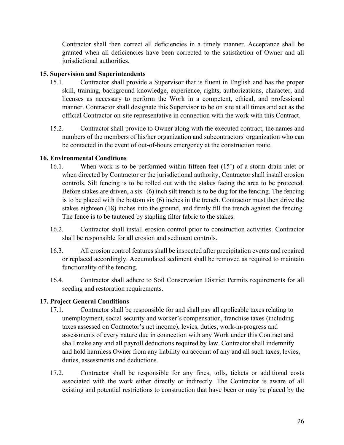Contractor shall then correct all deficiencies in a timely manner. Acceptance shall be granted when all deficiencies have been corrected to the satisfaction of Owner and all jurisdictional authorities.

# **15. Supervision and Superintendents**

- 15.1. Contractor shall provide a Supervisor that is fluent in English and has the proper skill, training, background knowledge, experience, rights, authorizations, character, and licenses as necessary to perform the Work in a competent, ethical, and professional manner. Contractor shall designate this Supervisor to be on site at all times and act as the official Contractor on-site representative in connection with the work with this Contract.
- 15.2. Contractor shall provide to Owner along with the executed contract, the names and numbers of the members of his/her organization and subcontractors' organization who can be contacted in the event of out-of-hours emergency at the construction route.

# **16. Environmental Conditions**

- 16.1. When work is to be performed within fifteen feet (15') of a storm drain inlet or when directed by Contractor or the jurisdictional authority, Contractor shall install erosion controls. Silt fencing is to be rolled out with the stakes facing the area to be protected. Before stakes are driven, a six- (6) inch silt trench is to be dug for the fencing. The fencing is to be placed with the bottom six (6) inches in the trench. Contractor must then drive the stakes eighteen (18) inches into the ground, and firmly fill the trench against the fencing. The fence is to be tautened by stapling filter fabric to the stakes.
- 16.2. Contractor shall install erosion control prior to construction activities. Contractor shall be responsible for all erosion and sediment controls.
- 16.3. All erosion control features shall be inspected after precipitation events and repaired or replaced accordingly. Accumulated sediment shall be removed as required to maintain functionality of the fencing.
- 16.4. Contractor shall adhere to Soil Conservation District Permits requirements for all seeding and restoration requirements.

# **17. Project General Conditions**

- 17.1. Contractor shall be responsible for and shall pay all applicable taxes relating to unemployment, social security and worker's compensation, franchise taxes (including taxes assessed on Contractor's net income), levies, duties, work-in-progress and assessments of every nature due in connection with any Work under this Contract and shall make any and all payroll deductions required by law. Contractor shall indemnify and hold harmless Owner from any liability on account of any and all such taxes, levies, duties, assessments and deductions.
- 17.2. Contractor shall be responsible for any fines, tolls, tickets or additional costs associated with the work either directly or indirectly. The Contractor is aware of all existing and potential restrictions to construction that have been or may be placed by the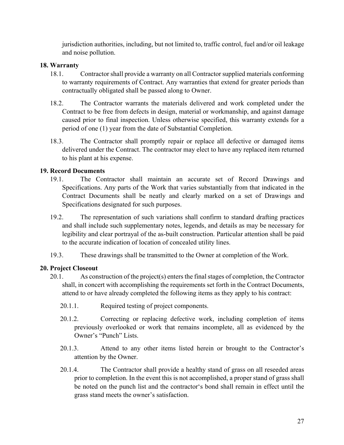jurisdiction authorities, including, but not limited to, traffic control, fuel and/or oil leakage and noise pollution.

### **18. Warranty**

- 18.1. Contractor shall provide a warranty on all Contractor supplied materials conforming to warranty requirements of Contract. Any warranties that extend for greater periods than contractually obligated shall be passed along to Owner.
- 18.2. The Contractor warrants the materials delivered and work completed under the Contract to be free from defects in design, material or workmanship, and against damage caused prior to final inspection. Unless otherwise specified, this warranty extends for a period of one (1) year from the date of Substantial Completion.
- 18.3. The Contractor shall promptly repair or replace all defective or damaged items delivered under the Contract. The contractor may elect to have any replaced item returned to his plant at his expense.

# **19. Record Documents**

- 19.1. The Contractor shall maintain an accurate set of Record Drawings and Specifications. Any parts of the Work that varies substantially from that indicated in the Contract Documents shall be neatly and clearly marked on a set of Drawings and Specifications designated for such purposes.
- 19.2. The representation of such variations shall confirm to standard drafting practices and shall include such supplementary notes, legends, and details as may be necessary for legibility and clear portrayal of the as-built construction. Particular attention shall be paid to the accurate indication of location of concealed utility lines.
- 19.3. These drawings shall be transmitted to the Owner at completion of the Work.

# **20. Project Closeout**

- 20.1. As construction of the project(s) enters the final stages of completion, the Contractor shall, in concert with accomplishing the requirements set forth in the Contract Documents, attend to or have already completed the following items as they apply to his contract:
	- 20.1.1. Required testing of project components.
	- 20.1.2. Correcting or replacing defective work, including completion of items previously overlooked or work that remains incomplete, all as evidenced by the Owner's "Punch" Lists.
	- 20.1.3. Attend to any other items listed herein or brought to the Contractor's attention by the Owner.
	- 20.1.4. The Contractor shall provide a healthy stand of grass on all reseeded areas prior to completion. In the event this is not accomplished, a proper stand of grass shall be noted on the punch list and the contractor's bond shall remain in effect until the grass stand meets the owner's satisfaction.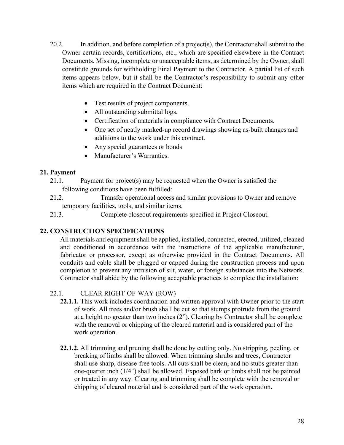- 20.2. In addition, and before completion of a project(s), the Contractor shall submit to the Owner certain records, certifications, etc., which are specified elsewhere in the Contract Documents. Missing, incomplete or unacceptable items, as determined by the Owner, shall constitute grounds for withholding Final Payment to the Contractor. A partial list of such items appears below, but it shall be the Contractor's responsibility to submit any other items which are required in the Contract Document:
	- Test results of project components.
	- All outstanding submittal logs.
	- Certification of materials in compliance with Contract Documents.
	- One set of neatly marked-up record drawings showing as-built changes and additions to the work under this contract.
	- Any special guarantees or bonds
	- Manufacturer's Warranties.

### **21. Payment**

- 21.1. Payment for project(s) may be requested when the Owner is satisfied the following conditions have been fulfilled:
- 21.2. Transfer operational access and similar provisions to Owner and remove temporary facilities, tools, and similar items.
- 21.3. Complete closeout requirements specified in Project Closeout.

# **22. CONSTRUCTION SPECIFICATIONS**

All materials and equipment shall be applied, installed, connected, erected, utilized, cleaned and conditioned in accordance with the instructions of the applicable manufacturer, fabricator or processor, except as otherwise provided in the Contract Documents. All conduits and cable shall be plugged or capped during the construction process and upon completion to prevent any intrusion of silt, water, or foreign substances into the Network. Contractor shall abide by the following acceptable practices to complete the installation:

# 22.1. CLEAR RIGHT-OF-WAY (ROW)

- **22.1.1.** This work includes coordination and written approval with Owner prior to the start of work. All trees and/or brush shall be cut so that stumps protrude from the ground at a height no greater than two inches (2"). Clearing by Contractor shall be complete with the removal or chipping of the cleared material and is considered part of the work operation.
- **22.1.2.** All trimming and pruning shall be done by cutting only. No stripping, peeling, or breaking of limbs shall be allowed. When trimming shrubs and trees, Contractor shall use sharp, disease-free tools. All cuts shall be clean, and no stubs greater than one-quarter inch (1/4") shall be allowed. Exposed bark or limbs shall not be painted or treated in any way. Clearing and trimming shall be complete with the removal or chipping of cleared material and is considered part of the work operation.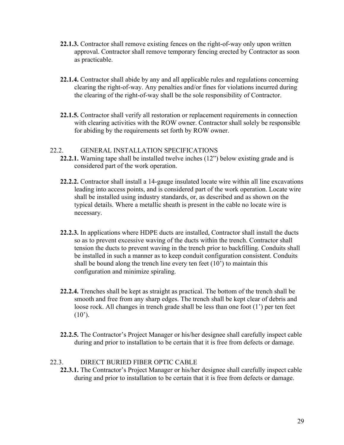- **22.1.3.** Contractor shall remove existing fences on the right-of-way only upon written approval. Contractor shall remove temporary fencing erected by Contractor as soon as practicable.
- **22.1.4.** Contractor shall abide by any and all applicable rules and regulations concerning clearing the right-of-way. Any penalties and/or fines for violations incurred during the clearing of the right-of-way shall be the sole responsibility of Contractor.
- **22.1.5.** Contractor shall verify all restoration or replacement requirements in connection with clearing activities with the ROW owner. Contractor shall solely be responsible for abiding by the requirements set forth by ROW owner.

#### 22.2. GENERAL INSTALLATION SPECIFICATIONS

- **22.2.1.** Warning tape shall be installed twelve inches (12") below existing grade and is considered part of the work operation.
- **22.2.2.** Contractor shall install a 14-gauge insulated locate wire within all line excavations leading into access points, and is considered part of the work operation. Locate wire shall be installed using industry standards, or, as described and as shown on the typical details. Where a metallic sheath is present in the cable no locate wire is necessary.
- **22.2.3.** In applications where HDPE ducts are installed, Contractor shall install the ducts so as to prevent excessive waving of the ducts within the trench. Contractor shall tension the ducts to prevent waving in the trench prior to backfilling. Conduits shall be installed in such a manner as to keep conduit configuration consistent. Conduits shall be bound along the trench line every ten feet  $(10<sup>o</sup>)$  to maintain this configuration and minimize spiraling.
- **22.2.4.** Trenches shall be kept as straight as practical. The bottom of the trench shall be smooth and free from any sharp edges. The trench shall be kept clear of debris and loose rock. All changes in trench grade shall be less than one foot (1') per ten feet  $(10^{\circ})$ .
- **22.2.5.** The Contractor's Project Manager or his/her designee shall carefully inspect cable during and prior to installation to be certain that it is free from defects or damage.

### 22.3. DIRECT BURIED FIBER OPTIC CABLE

**22.3.1.** The Contractor's Project Manager or his/her designee shall carefully inspect cable during and prior to installation to be certain that it is free from defects or damage.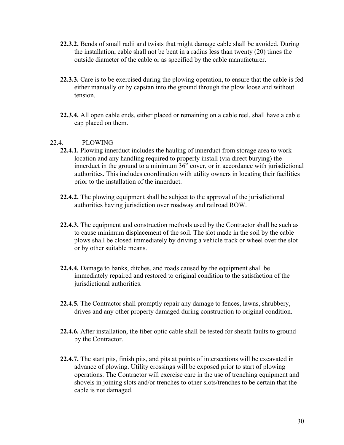- **22.3.2.** Bends of small radii and twists that might damage cable shall be avoided. During the installation, cable shall not be bent in a radius less than twenty (20) times the outside diameter of the cable or as specified by the cable manufacturer.
- **22.3.3.** Care is to be exercised during the plowing operation, to ensure that the cable is fed either manually or by capstan into the ground through the plow loose and without tension.
- **22.3.4.** All open cable ends, either placed or remaining on a cable reel, shall have a cable cap placed on them.

#### 22.4. PLOWING

- **22.4.1.** Plowing innerduct includes the hauling of innerduct from storage area to work location and any handling required to properly install (via direct burying) the innerduct in the ground to a minimum 36" cover, or in accordance with jurisdictional authorities. This includes coordination with utility owners in locating their facilities prior to the installation of the innerduct.
- **22.4.2.** The plowing equipment shall be subject to the approval of the jurisdictional authorities having jurisdiction over roadway and railroad ROW.
- **22.4.3.** The equipment and construction methods used by the Contractor shall be such as to cause minimum displacement of the soil. The slot made in the soil by the cable plows shall be closed immediately by driving a vehicle track or wheel over the slot or by other suitable means.
- **22.4.4.** Damage to banks, ditches, and roads caused by the equipment shall be immediately repaired and restored to original condition to the satisfaction of the jurisdictional authorities.
- **22.4.5.** The Contractor shall promptly repair any damage to fences, lawns, shrubbery, drives and any other property damaged during construction to original condition.
- **22.4.6.** After installation, the fiber optic cable shall be tested for sheath faults to ground by the Contractor.
- **22.4.7.** The start pits, finish pits, and pits at points of intersections will be excavated in advance of plowing. Utility crossings will be exposed prior to start of plowing operations. The Contractor will exercise care in the use of trenching equipment and shovels in joining slots and/or trenches to other slots/trenches to be certain that the cable is not damaged.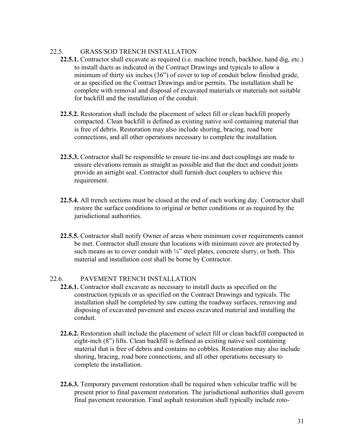### 22.5. GRASS/SOD TRENCH INSTALLATION

- **22.5.1.** Contractor shall excavate as required (i.e. machine trench, backhoe, hand dig, etc.) to install ducts as indicated in the Contract Drawings and typicals to allow a minimum of thirty six inches (36") of cover to top of conduit below finished grade, or as specified on the Contract Drawings and/or permits. The installation shall be complete with removal and disposal of excavated materials or materials not suitable for backfill and the installation of the conduit.
- **22.5.2.** Restoration shall include the placement of select fill or clean backfill properly compacted. Clean backfill is defined as existing native soil containing material that is free of debris. Restoration may also include shoring, bracing, road bore connections, and all other operations necessary to complete the installation.
- **22.5.3.** Contractor shall be responsible to ensure tie-ins and duct couplings are made to ensure elevations remain as straight as possible and that the duct and conduit joints provide an airtight seal. Contractor shall furnish duct couplers to achieve this requirement.
- **22.5.4.** All trench sections must be closed at the end of each working day. Contractor shall restore the surface conditions to original or better conditions or as required by the jurisdictional authorities.
- **22.5.5.** Contractor shall notify Owner of areas where minimum cover requirements cannot be met. Contractor shall ensure that locations with minimum cover are protected by such means as to cover conduit with  $\frac{1}{4}$ " steel plates, concrete slurry, or both. This material and installation cost shall be borne by Contractor.

# 22.6. PAVEMENT TRENCH INSTALLATION

- **22.6.1.** Contractor shall excavate as necessary to install ducts as specified on the construction typicals or as specified on the Contract Drawings and typicals. The installation shall be completed by saw cutting the roadway surfaces, removing and disposing of excavated pavement and excess excavated material and installing the conduit.
- **22.6.2.** Restoration shall include the placement of select fill or clean backfill compacted in eight-inch (8") lifts. Clean backfill is defined as existing native soil containing material that is free of debris and contains no cobbles. Restoration may also include shoring, bracing, road bore connections, and all other operations necessary to complete the installation.
- **22.6.3.** Temporary pavement restoration shall be required when vehicular traffic will be present prior to final pavement restoration. The jurisdictional authorities shall govern final pavement restoration. Final asphalt restoration shall typically include roto-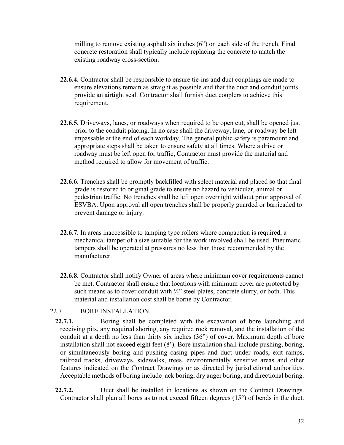milling to remove existing asphalt six inches (6") on each side of the trench. Final concrete restoration shall typically include replacing the concrete to match the existing roadway cross-section.

- **22.6.4.** Contractor shall be responsible to ensure tie-ins and duct couplings are made to ensure elevations remain as straight as possible and that the duct and conduit joints provide an airtight seal. Contractor shall furnish duct couplers to achieve this requirement.
- **22.6.5.** Driveways, lanes, or roadways when required to be open cut, shall be opened just prior to the conduit placing. In no case shall the driveway, lane, or roadway be left impassable at the end of each workday. The general public safety is paramount and appropriate steps shall be taken to ensure safety at all times. Where a drive or roadway must be left open for traffic, Contractor must provide the material and method required to allow for movement of traffic.
- **22.6.6.** Trenches shall be promptly backfilled with select material and placed so that final grade is restored to original grade to ensure no hazard to vehicular, animal or pedestrian traffic. No trenches shall be left open overnight without prior approval of ESVBA. Upon approval all open trenches shall be properly guarded or barricaded to prevent damage or injury.
- **22.6.7.** In areas inaccessible to tamping type rollers where compaction is required, a mechanical tamper of a size suitable for the work involved shall be used. Pneumatic tampers shall be operated at pressures no less than those recommended by the manufacturer.
- **22.6.8.** Contractor shall notify Owner of areas where minimum cover requirements cannot be met. Contractor shall ensure that locations with minimum cover are protected by such means as to cover conduit with  $\frac{1}{4}$ " steel plates, concrete slurry, or both. This material and installation cost shall be borne by Contractor.

### 22.7. BORE INSTALLATION

- **22.7.1.** Boring shall be completed with the excavation of bore launching and receiving pits, any required shoring, any required rock removal, and the installation of the conduit at a depth no less than thirty six inches (36") of cover. Maximum depth of bore installation shall not exceed eight feet (8'). Bore installation shall include pushing, boring, or simultaneously boring and pushing casing pipes and duct under roads, exit ramps, railroad tracks, driveways, sidewalks, trees, environmentally sensitive areas and other features indicated on the Contract Drawings or as directed by jurisdictional authorities. Acceptable methods of boring include jack boring, dry auger boring, and directional boring.
- **22.7.2.** Duct shall be installed in locations as shown on the Contract Drawings. Contractor shall plan all bores as to not exceed fifteen degrees (15°) of bends in the duct.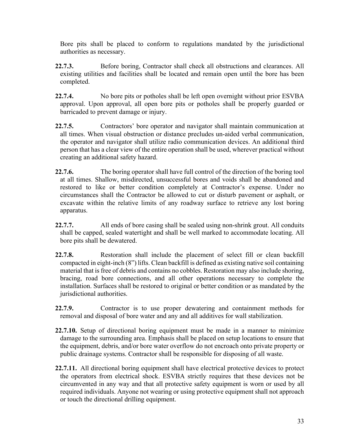Bore pits shall be placed to conform to regulations mandated by the jurisdictional authorities as necessary.

- **22.7.3.** Before boring, Contractor shall check all obstructions and clearances. All existing utilities and facilities shall be located and remain open until the bore has been completed.
- **22.7.4.** No bore pits or potholes shall be left open overnight without prior ESVBA approval. Upon approval, all open bore pits or potholes shall be properly guarded or barricaded to prevent damage or injury.
- **22.7.5.** Contractors' bore operator and navigator shall maintain communication at all times. When visual obstruction or distance precludes un-aided verbal communication, the operator and navigator shall utilize radio communication devices. An additional third person that has a clear view of the entire operation shall be used, wherever practical without creating an additional safety hazard.
- **22.7.6.** The boring operator shall have full control of the direction of the boring tool at all times. Shallow, misdirected, unsuccessful bores and voids shall be abandoned and restored to like or better condition completely at Contractor's expense. Under no circumstances shall the Contractor be allowed to cut or disturb pavement or asphalt, or excavate within the relative limits of any roadway surface to retrieve any lost boring apparatus.
- **22.7.7.** All ends of bore casing shall be sealed using non-shrink grout. All conduits shall be capped, sealed watertight and shall be well marked to accommodate locating. All bore pits shall be dewatered.
- **22.7.8.** Restoration shall include the placement of select fill or clean backfill compacted in eight-inch (8") lifts. Clean backfill is defined as existing native soil containing material that is free of debris and contains no cobbles. Restoration may also include shoring, bracing, road bore connections, and all other operations necessary to complete the installation. Surfaces shall be restored to original or better condition or as mandated by the jurisdictional authorities.
- **22.7.9.** Contractor is to use proper dewatering and containment methods for removal and disposal of bore water and any and all additives for wall stabilization.
- **22.7.10.** Setup of directional boring equipment must be made in a manner to minimize damage to the surrounding area. Emphasis shall be placed on setup locations to ensure that the equipment, debris, and/or bore water overflow do not encroach onto private property or public drainage systems. Contractor shall be responsible for disposing of all waste.
- **22.7.11.** All directional boring equipment shall have electrical protective devices to protect the operators from electrical shock. ESVBA strictly requires that these devices not be circumvented in any way and that all protective safety equipment is worn or used by all required individuals. Anyone not wearing or using protective equipment shall not approach or touch the directional drilling equipment.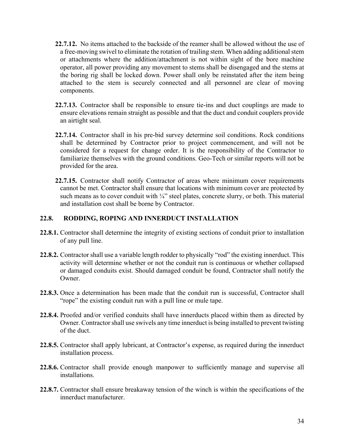- **22.7.12.** No items attached to the backside of the reamer shall be allowed without the use of a free-moving swivel to eliminate the rotation of trailing stem. When adding additional stem or attachments where the addition/attachment is not within sight of the bore machine operator, all power providing any movement to stems shall be disengaged and the stems at the boring rig shall be locked down. Power shall only be reinstated after the item being attached to the stem is securely connected and all personnel are clear of moving components.
- **22.7.13.** Contractor shall be responsible to ensure tie-ins and duct couplings are made to ensure elevations remain straight as possible and that the duct and conduit couplers provide an airtight seal.
- **22.7.14.** Contractor shall in his pre-bid survey determine soil conditions. Rock conditions shall be determined by Contractor prior to project commencement, and will not be considered for a request for change order. It is the responsibility of the Contractor to familiarize themselves with the ground conditions. Geo-Tech or similar reports will not be provided for the area.
- **22.7.15.** Contractor shall notify Contractor of areas where minimum cover requirements cannot be met. Contractor shall ensure that locations with minimum cover are protected by such means as to cover conduit with  $\frac{1}{4}$ " steel plates, concrete slurry, or both. This material and installation cost shall be borne by Contractor.

### **22.8. RODDING, ROPING AND INNERDUCT INSTALLATION**

- **22.8.1.** Contractor shall determine the integrity of existing sections of conduit prior to installation of any pull line.
- **22.8.2.** Contractor shall use a variable length rodder to physically "rod" the existing innerduct. This activity will determine whether or not the conduit run is continuous or whether collapsed or damaged conduits exist. Should damaged conduit be found, Contractor shall notify the Owner.
- **22.8.3.** Once a determination has been made that the conduit run is successful, Contractor shall "rope" the existing conduit run with a pull line or mule tape.
- **22.8.4.** Proofed and/or verified conduits shall have innerducts placed within them as directed by Owner. Contractor shall use swivels any time innerduct is being installed to prevent twisting of the duct.
- **22.8.5.** Contractor shall apply lubricant, at Contractor's expense, as required during the innerduct installation process.
- **22.8.6.** Contractor shall provide enough manpower to sufficiently manage and supervise all installations.
- **22.8.7.** Contractor shall ensure breakaway tension of the winch is within the specifications of the innerduct manufacturer.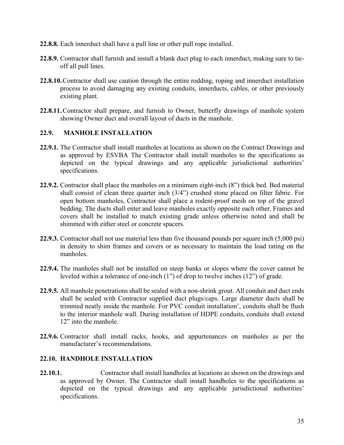- **22.8.8.** Each innerduct shall have a pull line or other pull rope installed.
- **22.8.9.** Contractor shall furnish and install a blank duct plug to each innerduct, making sure to tieoff all pull lines.
- **22.8.10.**Contractor shall use caution through the entire rodding, roping and innerduct installation process to avoid damaging any existing conduits, innerducts, cables, or other previously existing plant.
- **22.8.11.**Contractor shall prepare, and furnish to Owner, butterfly drawings of manhole system showing Owner duct and overall layout of ducts in the manhole.

### **22.9. MANHOLE INSTALLATION**

- **22.9.1.** The Contractor shall install manholes at locations as shown on the Contract Drawings and as approved by ESVBA The Contractor shall install manholes to the specifications as depicted on the typical drawings and any applicable jurisdictional authorities' specifications.
- **22.9.2.** Contractor shall place the manholes on a minimum eight-inch (8") thick bed. Bed material shall consist of clean three quarter inch (3/4") crushed stone placed on filter fabric. For open bottom manholes, Contractor shall place a rodent-proof mesh on top of the gravel bedding. The ducts shall enter and leave manholes exactly opposite each other. Frames and covers shall be installed to match existing grade unless otherwise noted and shall be shimmed with either steel or concrete spacers.
- **22.9.3.** Contractor shall not use material less than five thousand pounds per square inch (5,000 psi) in density to shim frames and covers or as necessary to maintain the load rating on the manholes.
- **22.9.4.** The manholes shall not be installed on steep banks or slopes where the cover cannot be leveled within a tolerance of one-inch (1") of drop to twelve inches (12") of grade.
- **22.9.5.** All manhole penetrations shall be sealed with a non-shrink grout. All conduit and duct ends shall be sealed with Contractor supplied duct plugs/caps. Large diameter ducts shall be trimmed neatly inside the manhole. For PVC conduit installation', conduits shall be flush to the interior manhole wall. During installation of HDPE conduits, conduits shall extend 12" into the manhole.
- **22.9.6.** Contractor shall install racks, hooks, and appurtenances on manholes as per the manufacturer's recommendations.

### **22.10. HANDHOLE INSTALLATION**

**22.10.1.** Contractor shall install handholes at locations as shown on the drawings and as approved by Owner. The Contractor shall install handholes to the specifications as depicted on the typical drawings and any applicable jurisdictional authorities' specifications.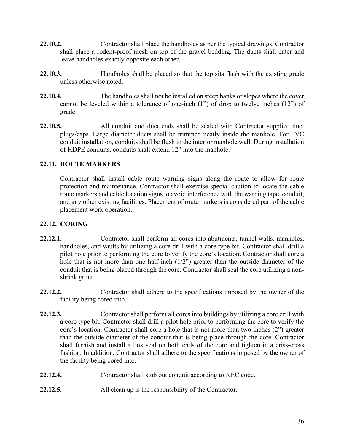- **22.10.2.** Contractor shall place the handholes as per the typical drawings. Contractor shall place a rodent-proof mesh on top of the gravel bedding. The ducts shall enter and leave handholes exactly opposite each other.
- **22.10.3.** Handholes shall be placed so that the top sits flush with the existing grade unless otherwise noted.
- **22.10.4.** The handholes shall not be installed on steep banks or slopes where the cover cannot be leveled within a tolerance of one-inch (1") of drop to twelve inches (12") of grade.
- **22.10.5.** All conduit and duct ends shall be sealed with Contractor supplied duct plugs/caps. Large diameter ducts shall be trimmed neatly inside the manhole. For PVC conduit installation, conduits shall be flush to the interior manhole wall. During installation of HDPE conduits, conduits shall extend 12" into the manhole.

# **22.11. ROUTE MARKERS**

Contractor shall install cable route warning signs along the route to allow for route protection and maintenance. Contractor shall exercise special caution to locate the cable route markers and cable location signs to avoid interference with the warning tape, conduit, and any other existing facilities. Placement of route markers is considered part of the cable placement work operation.

# **22.12. CORING**

- **22.12.1.** Contractor shall perform all cores into abutments, tunnel walls, manholes, handholes, and vaults by utilizing a core drill with a core type bit. Contractor shall drill a pilot hole prior to performing the core to verify the core's location. Contractor shall core a hole that is not more than one half inch  $(1/2)$  greater than the outside diameter of the conduit that is being placed through the core. Contractor shall seal the core utilizing a nonshrink grout.
- **22.12.2.** Contractor shall adhere to the specifications imposed by the owner of the facility being cored into.
- **22.12.3.** Contractor shall perform all cores into buildings by utilizing a core drill with a core type bit. Contractor shall drill a pilot hole prior to performing the core to verify the core's location. Contractor shall core a hole that is not more than two inches (2") greater than the outside diameter of the conduit that is being place through the core. Contractor shall furnish and install a link seal on both ends of the core and tighten in a criss-cross fashion. In addition, Contractor shall adhere to the specifications imposed by the owner of the facility being cored into.
- **22.12.4.** Contractor shall stub out conduit according to NEC code.
- **22.12.5.** All clean up is the responsibility of the Contractor.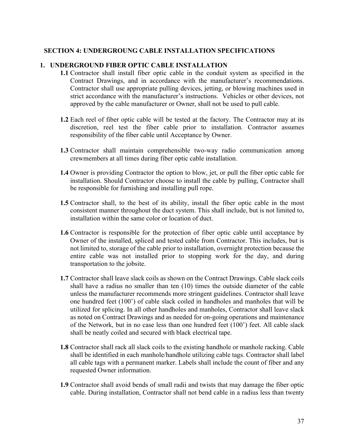#### **SECTION 4: UNDERGROUNG CABLE INSTALLATION SPECIFICATIONS**

### **1. UNDERGROUND FIBER OPTIC CABLE INSTALLATION**

- **1.1** Contractor shall install fiber optic cable in the conduit system as specified in the Contract Drawings, and in accordance with the manufacturer's recommendations. Contractor shall use appropriate pulling devices, jetting, or blowing machines used in strict accordance with the manufacturer's instructions. Vehicles or other devices, not approved by the cable manufacturer or Owner, shall not be used to pull cable.
- **1.2** Each reel of fiber optic cable will be tested at the factory. The Contractor may at its discretion, reel test the fiber cable prior to installation. Contractor assumes responsibility of the fiber cable until Acceptance by Owner.
- **1.3** Contractor shall maintain comprehensible two-way radio communication among crewmembers at all times during fiber optic cable installation.
- **1.4** Owner is providing Contractor the option to blow, jet, or pull the fiber optic cable for installation. Should Contractor choose to install the cable by pulling, Contractor shall be responsible for furnishing and installing pull rope.
- **1.5** Contractor shall, to the best of its ability, install the fiber optic cable in the most consistent manner throughout the duct system. This shall include, but is not limited to, installation within the same color or location of duct.
- **1.6** Contractor is responsible for the protection of fiber optic cable until acceptance by Owner of the installed, spliced and tested cable from Contractor. This includes, but is not limited to, storage of the cable prior to installation, overnight protection because the entire cable was not installed prior to stopping work for the day, and during transportation to the jobsite.
- **1.7** Contractor shall leave slack coils as shown on the Contract Drawings. Cable slack coils shall have a radius no smaller than ten (10) times the outside diameter of the cable unless the manufacturer recommends more stringent guidelines. Contractor shall leave one hundred feet (100') of cable slack coiled in handholes and manholes that will be utilized for splicing. In all other handholes and manholes, Contractor shall leave slack as noted on Contract Drawings and as needed for on-going operations and maintenance of the Network, but in no case less than one hundred feet (100') feet. All cable slack shall be neatly coiled and secured with black electrical tape.
- **1.8** Contractor shall rack all slack coils to the existing handhole or manhole racking. Cable shall be identified in each manhole/handhole utilizing cable tags. Contractor shall label all cable tags with a permanent marker. Labels shall include the count of fiber and any requested Owner information.
- **1.9** Contractor shall avoid bends of small radii and twists that may damage the fiber optic cable. During installation, Contractor shall not bend cable in a radius less than twenty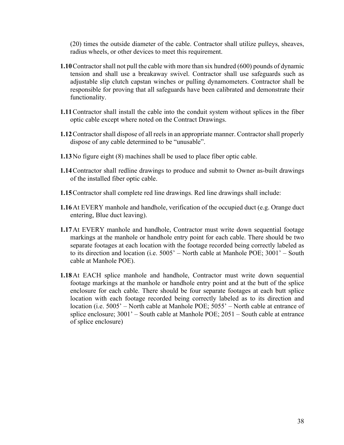(20) times the outside diameter of the cable. Contractor shall utilize pulleys, sheaves, radius wheels, or other devices to meet this requirement.

- **1.10**Contractor shall not pull the cable with more than six hundred (600) pounds of dynamic tension and shall use a breakaway swivel. Contractor shall use safeguards such as adjustable slip clutch capstan winches or pulling dynamometers. Contractor shall be responsible for proving that all safeguards have been calibrated and demonstrate their functionality.
- **1.11**Contractor shall install the cable into the conduit system without splices in the fiber optic cable except where noted on the Contract Drawings.
- **1.12**Contractor shall dispose of all reels in an appropriate manner. Contractor shall properly dispose of any cable determined to be "unusable".
- **1.13**No figure eight (8) machines shall be used to place fiber optic cable.
- **1.14**Contractor shall redline drawings to produce and submit to Owner as-built drawings of the installed fiber optic cable.
- **1.15**Contractor shall complete red line drawings. Red line drawings shall include:
- **1.16**At EVERY manhole and handhole, verification of the occupied duct (e.g. Orange duct entering, Blue duct leaving).
- **1.17**At EVERY manhole and handhole, Contractor must write down sequential footage markings at the manhole or handhole entry point for each cable. There should be two separate footages at each location with the footage recorded being correctly labeled as to its direction and location (i.e. 5005' – North cable at Manhole POE; 3001' – South cable at Manhole POE).
- **1.18**At EACH splice manhole and handhole, Contractor must write down sequential footage markings at the manhole or handhole entry point and at the butt of the splice enclosure for each cable. There should be four separate footages at each butt splice location with each footage recorded being correctly labeled as to its direction and location (i.e. 5005' – North cable at Manhole POE; 5055' – North cable at entrance of splice enclosure; 3001' – South cable at Manhole POE; 2051 – South cable at entrance of splice enclosure)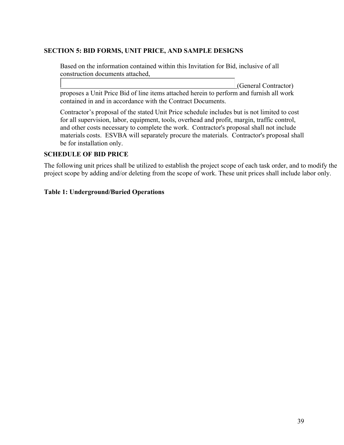### **SECTION 5: BID FORMS, UNIT PRICE, AND SAMPLE DESIGNS**

Based on the information contained within this Invitation for Bid, inclusive of all construction documents attached,

(General Contractor)

proposes a Unit Price Bid of line items attached herein to perform and furnish all work contained in and in accordance with the Contract Documents.

Contractor's proposal of the stated Unit Price schedule includes but is not limited to cost for all supervision, labor, equipment, tools, overhead and profit, margin, traffic control, and other costs necessary to complete the work. Contractor's proposal shall not include materials costs. ESVBA will separately procure the materials. Contractor's proposal shall be for installation only.

### **SCHEDULE OF BID PRICE**

The following unit prices shall be utilized to establish the project scope of each task order, and to modify the project scope by adding and/or deleting from the scope of work. These unit prices shall include labor only.

### **Table 1: Underground/Buried Operations**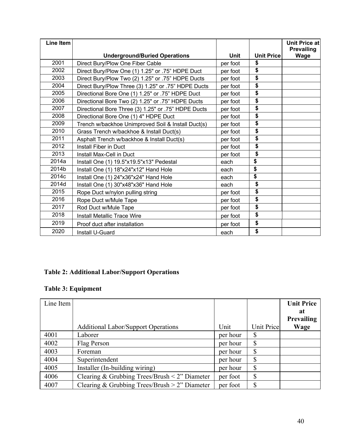| Line Item |                                                     |          |                                      | Unit Price at<br><b>Prevailing</b> |
|-----------|-----------------------------------------------------|----------|--------------------------------------|------------------------------------|
|           | <b>Underground/Buried Operations</b>                | Unit     | <b>Unit Price</b>                    | Wage                               |
| 2001      | Direct Bury/Plow One Fiber Cable                    | per foot | \$                                   |                                    |
| 2002      | Direct Bury/Plow One (1) 1.25" or .75" HDPE Duct    | per foot | \$                                   |                                    |
| 2003      | Direct Bury/Plow Two (2) 1.25" or .75" HDPE Ducts   | per foot | \$                                   |                                    |
| 2004      | Direct Bury/Plow Three (3) 1.25" or .75" HDPE Ducts | per foot | \$                                   |                                    |
| 2005      | Directional Bore One (1) 1.25" or .75" HDPE Duct    | per foot | \$                                   |                                    |
| 2006      | Directional Bore Two (2) 1.25" or .75" HDPE Ducts   | per foot | $\overline{\boldsymbol{\mathsf{s}}}$ |                                    |
| 2007      | Directional Bore Three (3) 1.25" or .75" HDPE Ducts | per foot | \$                                   |                                    |
| 2008      | Directional Bore One (1) 4" HDPE Duct               | per foot | \$                                   |                                    |
| 2009      | Trench w/backhoe Unimproved Soil & Install Duct(s)  | per foot | \$                                   |                                    |
| 2010      | Grass Trench w/backhoe & Install Duct(s)            | per foot | \$                                   |                                    |
| 2011      | Asphalt Trench w/backhoe & Install Duct(s)          | per foot | \$                                   |                                    |
| 2012      | Install Fiber in Duct                               | per foot | \$                                   |                                    |
| 2013      | Install Max-Cell in Duct                            | per foot | \$                                   |                                    |
| 2014a     | Install One (1) 19.5"x19.5"x13" Pedestal            | each     | \$                                   |                                    |
| 2014b     | Install One (1) 18"x24"x12" Hand Hole               | each     | \$                                   |                                    |
| 2014c     | Install One (1) 24"x36"x24" Hand Hole               | each     | \$                                   |                                    |
| 2014d     | Install One (1) 30"x48"x36" Hand Hole               | each     | \$                                   |                                    |
| 2015      | Rope Duct w/nylon pulling string                    | per foot | \$                                   |                                    |
| 2016      | Rope Duct w/Mule Tape                               | per foot | $\overline{\mathbf{s}}$              |                                    |
| 2017      | Rod Duct w/Mule Tape                                | per foot | \$                                   |                                    |
| 2018      | <b>Install Metallic Trace Wire</b>                  | per foot | \$                                   |                                    |
| 2019      | Proof duct after installation                       | per foot | \$                                   |                                    |
| 2020      | Install U-Guard                                     | each     | \$                                   |                                    |

# **Table 2: Additional Labor/Support Operations**

# **Table 3: Equipment**

| Line Item |                                                    |          |                   | <b>Unit Price</b> |
|-----------|----------------------------------------------------|----------|-------------------|-------------------|
|           |                                                    |          |                   | at                |
|           |                                                    |          |                   | <b>Prevailing</b> |
|           | <b>Additional Labor/Support Operations</b>         | Unit     | <b>Unit Price</b> | Wage              |
| 4001      | Laborer                                            | per hour |                   |                   |
| 4002      | Flag Person                                        | per hour |                   |                   |
| 4003      | Foreman                                            | per hour |                   |                   |
| 4004      | Superintendent                                     | per hour | \$                |                   |
| 4005      | Installer (In-building wiring)                     | per hour | \$                |                   |
| 4006      | Clearing & Grubbing Trees/Brush $\leq$ 2" Diameter | per foot | \$                |                   |
| 4007      | Clearing & Grubbing Trees/Brush > 2" Diameter      | per foot |                   |                   |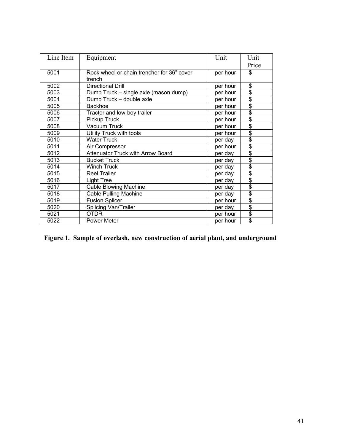| Line Item | Equipment                                            | Unit     | Unit                     |
|-----------|------------------------------------------------------|----------|--------------------------|
|           |                                                      |          | Price                    |
| 5001      | Rock wheel or chain trencher for 36" cover<br>trench | per hour | \$                       |
| 5002      | <b>Directional Drill</b>                             | per hour | \$                       |
| 5003      | Dump Truck - single axle (mason dump)                | per hour | \$                       |
| 5004      | Dump Truck - double axle                             | per hour | $\overline{\$}$          |
| 5005      | Backhoe                                              | per hour | \$                       |
| 5006      | Tractor and low-boy trailer                          | per hour | \$                       |
| 5007      | Pickup Truck                                         | per hour | \$                       |
| 5008      | Vacuum Truck                                         | per hour | $\overline{\$}$          |
| 5009      | Utility Truck with tools                             | per hour | \$                       |
| 5010      | <b>Water Truck</b>                                   | per day  | \$                       |
| 5011      | Air Compressor                                       | per hour | $\overline{\$}$          |
| 5012      | <b>Attenuator Truck with Arrow Board</b>             | per day  | $\overline{\$}$          |
| 5013      | <b>Bucket Truck</b>                                  | per day  | $\overline{\$}$          |
| 5014      | <b>Winch Truck</b>                                   | per day  | \$                       |
| 5015      | <b>Reel Trailer</b>                                  | per day  | $\overline{\$}$          |
| 5016      | <b>Light Tree</b>                                    | per day  | $\overline{\$}$          |
| 5017      | <b>Cable Blowing Machine</b>                         | per day  | $\overline{\mathcal{S}}$ |
| 5018      | <b>Cable Pulling Machine</b>                         | per day  | \$                       |
| 5019      | <b>Fusion Splicer</b>                                | per hour | $\overline{\$}$          |
| 5020      | Splicing Van/Trailer                                 | per day  | \$                       |
| 5021      | <b>OTDR</b>                                          | per hour | \$                       |
| 5022      | <b>Power Meter</b>                                   | per hour | \$                       |

**Figure 1. Sample of overlash, new construction of aerial plant, and underground**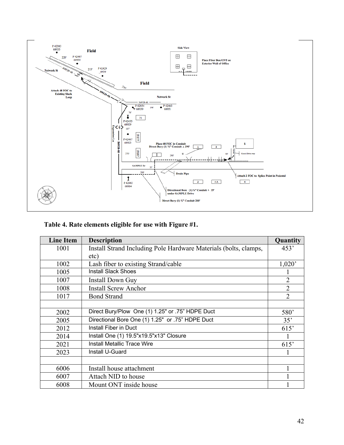

| Table 4. Rate elements eligible for use with Figure #1. |  |  |
|---------------------------------------------------------|--|--|
|                                                         |  |  |

| <b>Line Item</b> | <b>Description</b>                                               | Quantity         |
|------------------|------------------------------------------------------------------|------------------|
| 1001             | Install Strand Including Pole Hardware Materials (bolts, clamps, | 453'             |
|                  | etc)                                                             |                  |
| 1002             | Lash fiber to existing Strand/cable                              | 1,020'           |
| 1005             | <b>Install Slack Shoes</b>                                       |                  |
| 1007             | Install Down Guy                                                 | $\overline{2}$   |
| 1008             | <b>Install Screw Anchor</b>                                      | $\overline{2}$   |
| 1017             | <b>Bond Strand</b>                                               | $\overline{2}$   |
|                  |                                                                  |                  |
| 2002             | Direct Bury/Plow One (1) 1.25" or .75" HDPE Duct                 | 580 <sup>'</sup> |
| 2005             | Directional Bore One (1) 1.25" or .75" HDPE Duct                 | 35'              |
| 2012             | <b>Install Fiber in Duct</b>                                     | 615'             |
| 2014             | Install One (1) 19.5"x19.5"x13" Closure                          |                  |
| 2021             | <b>Install Metallic Trace Wire</b>                               | 615'             |
| 2023             | Install U-Guard                                                  |                  |
|                  |                                                                  |                  |
| 6006             | Install house attachment                                         |                  |
| 6007             | Attach NID to house                                              |                  |
| 6008             | Mount ONT inside house                                           |                  |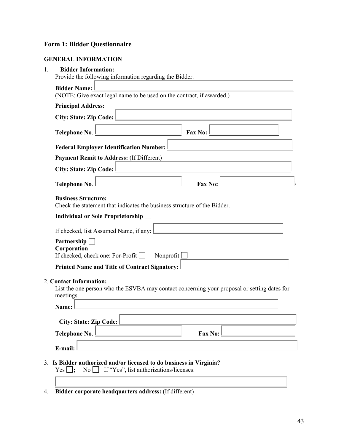# **Form 1: Bidder Questionnaire**

# **GENERAL INFORMATION**

| 1. | <b>Bidder Information:</b><br>Provide the following information regarding the Bidder.                                                                                                                                                                                                                                                                                                                                                                                                            |
|----|--------------------------------------------------------------------------------------------------------------------------------------------------------------------------------------------------------------------------------------------------------------------------------------------------------------------------------------------------------------------------------------------------------------------------------------------------------------------------------------------------|
|    | <b>Bidder Name:</b><br>(NOTE: Give exact legal name to be used on the contract, if awarded.)                                                                                                                                                                                                                                                                                                                                                                                                     |
|    | <b>Principal Address:</b>                                                                                                                                                                                                                                                                                                                                                                                                                                                                        |
|    |                                                                                                                                                                                                                                                                                                                                                                                                                                                                                                  |
|    | $\overline{\phantom{a}}$ $\overline{\phantom{a}}$ $\overline{\phantom{a}}$ $\overline{\phantom{a}}$ $\overline{\phantom{a}}$ $\overline{\phantom{a}}$ $\overline{\phantom{a}}$ $\overline{\phantom{a}}$ $\overline{\phantom{a}}$ $\overline{\phantom{a}}$ $\overline{\phantom{a}}$ $\overline{\phantom{a}}$ $\overline{\phantom{a}}$ $\overline{\phantom{a}}$ $\overline{\phantom{a}}$ $\overline{\phantom{a}}$ $\overline{\phantom{a}}$ $\overline{\phantom{a}}$ $\overline{\$<br>Telephone No. |
|    | Federal Employer Identification Number: Law and Contract the Contract of Tennis Property of the Contract of Te                                                                                                                                                                                                                                                                                                                                                                                   |
|    | <b>Payment Remit to Address: (If Different)</b>                                                                                                                                                                                                                                                                                                                                                                                                                                                  |
|    |                                                                                                                                                                                                                                                                                                                                                                                                                                                                                                  |
|    | Fax No:                                                                                                                                                                                                                                                                                                                                                                                                                                                                                          |
|    | <b>Business Structure:</b><br>Check the statement that indicates the business structure of the Bidder.                                                                                                                                                                                                                                                                                                                                                                                           |
|    | Individual or Sole Proprietorship                                                                                                                                                                                                                                                                                                                                                                                                                                                                |
|    | If checked, list Assumed Name, if any:                                                                                                                                                                                                                                                                                                                                                                                                                                                           |
|    | Partnership<br>Corporation<br>If checked, check one: For-Profit<br>Nonprofit $\Box$                                                                                                                                                                                                                                                                                                                                                                                                              |
|    |                                                                                                                                                                                                                                                                                                                                                                                                                                                                                                  |
|    | 2. Contact Information:<br>List the one person who the ESVBA may contact concerning your proposal or setting dates for<br>meetings.<br>Name:<br>the control of the control of the control of the control of the control of the control of                                                                                                                                                                                                                                                        |
|    |                                                                                                                                                                                                                                                                                                                                                                                                                                                                                                  |
|    | City: State: Zip Code:                                                                                                                                                                                                                                                                                                                                                                                                                                                                           |
|    | <b>Telephone No.</b><br>Fax No:                                                                                                                                                                                                                                                                                                                                                                                                                                                                  |
|    | E-mail:                                                                                                                                                                                                                                                                                                                                                                                                                                                                                          |
|    | 3. Is Bidder authorized and/or licensed to do business in Virginia?<br>$\begin{array}{c} \n\text{No} \quad \text{If "Yes", list authorizations/licenses.}\n\end{array}$<br>$Yes \mid \cdot$                                                                                                                                                                                                                                                                                                      |
|    |                                                                                                                                                                                                                                                                                                                                                                                                                                                                                                  |

4. **Bidder corporate headquarters address:** (If different)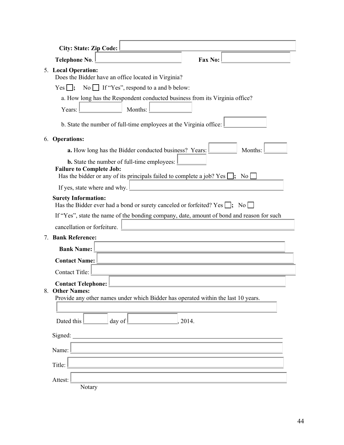| <b>City: State: Zip Code:</b>                                                                                                                                              |
|----------------------------------------------------------------------------------------------------------------------------------------------------------------------------|
| <b>Fax No:</b><br><b>Telephone No.</b>                                                                                                                                     |
| 5. Local Operation:<br>Does the Bidder have an office located in Virginia?                                                                                                 |
| $No$ If "Yes", respond to a and b below:<br>$\mathbf{E}$<br>Yes                                                                                                            |
| a. How long has the Respondent conducted business from its Virginia office?                                                                                                |
| Months:<br>Years:                                                                                                                                                          |
| b. State the number of full-time employees at the Virginia office:                                                                                                         |
| 6. Operations:                                                                                                                                                             |
| <b>a.</b> How long has the Bidder conducted business? Years:<br>Months:                                                                                                    |
| <b>b.</b> State the number of full-time employees:<br><b>Failure to Complete Job:</b><br>Has the bidder or any of its principals failed to complete a job? Yes $\Box$ ; No |
| If yes, state where and why.                                                                                                                                               |
| <b>Surety Information:</b><br>Has the Bidder ever had a bond or surety canceled or forfeited? Yes $\Box$ ; No                                                              |
| If "Yes", state the name of the bonding company, date, amount of bond and reason for such                                                                                  |
| cancellation or forfeiture.                                                                                                                                                |
| 7. Bank Reference:                                                                                                                                                         |
| <b>Bank Name:</b>                                                                                                                                                          |
| <b>Contact Name:</b>                                                                                                                                                       |
| <b>Contact Title:</b>                                                                                                                                                      |
| <b>Contact Telephone:</b><br>8. Other Names:<br>Provide any other names under which Bidder has operated within the last 10 years.                                          |
|                                                                                                                                                                            |
| Dated this $\boxed{\phantom{a}}$ day of $\boxed{\phantom{a}}$ , 2014.                                                                                                      |
|                                                                                                                                                                            |
| Name:<br><u> 1989 - Johann Stein, marwolaethau a bhann an t-Amhain ann an t-Amhain an t-Amhain an t-Amhain an t-Amhain an </u>                                             |
| Title:<br>the contract of the contract of the contract of the contract of the contract of the contract of                                                                  |
| Attest:<br>Notary                                                                                                                                                          |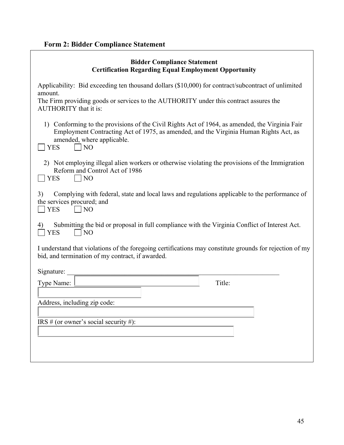| <b>Bidder Compliance Statement</b><br><b>Certification Regarding Equal Employment Opportunity</b>                                                                                                                                          |  |  |  |  |  |
|--------------------------------------------------------------------------------------------------------------------------------------------------------------------------------------------------------------------------------------------|--|--|--|--|--|
| Applicability: Bid exceeding ten thousand dollars (\$10,000) for contract/subcontract of unlimited                                                                                                                                         |  |  |  |  |  |
| amount.<br>The Firm providing goods or services to the AUTHORITY under this contract assures the<br>AUTHORITY that it is:                                                                                                                  |  |  |  |  |  |
| 1) Conforming to the provisions of the Civil Rights Act of 1964, as amended, the Virginia Fair<br>Employment Contracting Act of 1975, as amended, and the Virginia Human Rights Act, as<br>amended, where applicable.<br> NO<br><b>YES</b> |  |  |  |  |  |
| 2) Not employing illegal alien workers or otherwise violating the provisions of the Immigration<br>Reform and Control Act of 1986<br> NO<br><b>YES</b>                                                                                     |  |  |  |  |  |
| Complying with federal, state and local laws and regulations applicable to the performance of<br>3)<br>the services procured; and<br><b>YES</b><br>N <sub>O</sub>                                                                          |  |  |  |  |  |
| Submitting the bid or proposal in full compliance with the Virginia Conflict of Interest Act.<br>N <sub>O</sub><br><b>YES</b>                                                                                                              |  |  |  |  |  |
| I understand that violations of the foregoing certifications may constitute grounds for rejection of my<br>bid, and termination of my contract, if awarded.                                                                                |  |  |  |  |  |
| Signature:                                                                                                                                                                                                                                 |  |  |  |  |  |
| Title:<br>Type Name:                                                                                                                                                                                                                       |  |  |  |  |  |
| Address, including zip code:                                                                                                                                                                                                               |  |  |  |  |  |
| IRS # (or owner's social security #):                                                                                                                                                                                                      |  |  |  |  |  |
|                                                                                                                                                                                                                                            |  |  |  |  |  |
|                                                                                                                                                                                                                                            |  |  |  |  |  |

٦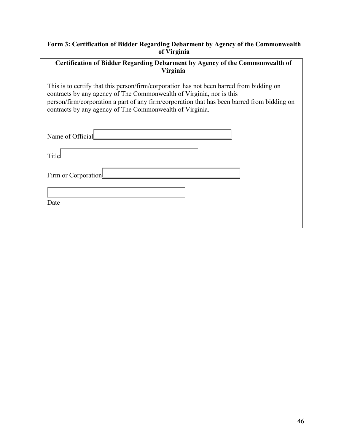### **Form 3: Certification of Bidder Regarding Debarment by Agency of the Commonwealth of Virginia**

| Certification of Bidder Regarding Debarment by Agency of the Commonwealth of<br>Virginia                                                                                                                                                                                                                                    |  |  |  |  |
|-----------------------------------------------------------------------------------------------------------------------------------------------------------------------------------------------------------------------------------------------------------------------------------------------------------------------------|--|--|--|--|
| This is to certify that this person/firm/corporation has not been barred from bidding on<br>contracts by any agency of The Commonwealth of Virginia, nor is this<br>person/firm/corporation a part of any firm/corporation that has been barred from bidding on<br>contracts by any agency of The Commonwealth of Virginia. |  |  |  |  |
| Name of Official                                                                                                                                                                                                                                                                                                            |  |  |  |  |
| Title                                                                                                                                                                                                                                                                                                                       |  |  |  |  |
| Firm or Corporation                                                                                                                                                                                                                                                                                                         |  |  |  |  |
| Date                                                                                                                                                                                                                                                                                                                        |  |  |  |  |
|                                                                                                                                                                                                                                                                                                                             |  |  |  |  |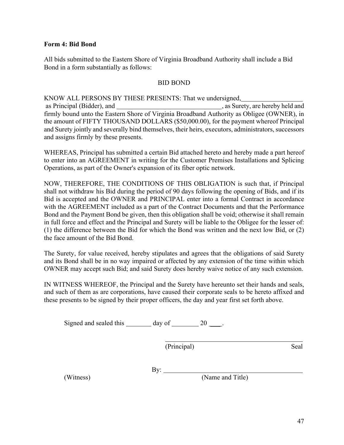#### **Form 4: Bid Bond**

All bids submitted to the Eastern Shore of Virginia Broadband Authority shall include a Bid Bond in a form substantially as follows:

#### BID BOND

KNOW ALL PERSONS BY THESE PRESENTS: That we undersigned,

as Principal (Bidder), and  $\qquad \qquad$ , as Surety, are hereby held and firmly bound unto the Eastern Shore of Virginia Broadband Authority as Obligee (OWNER), in the amount of FIFTY THOUSAND DOLLARS (\$50,000.00), for the payment whereof Principal and Surety jointly and severally bind themselves, their heirs, executors, administrators, successors and assigns firmly by these presents.

WHEREAS, Principal has submitted a certain Bid attached hereto and hereby made a part hereof to enter into an AGREEMENT in writing for the Customer Premises Installations and Splicing Operations, as part of the Owner's expansion of its fiber optic network.

NOW, THEREFORE, THE CONDITIONS OF THIS OBLIGATION is such that, if Principal shall not withdraw his Bid during the period of 90 days following the opening of Bids, and if its Bid is accepted and the OWNER and PRINCIPAL enter into a formal Contract in accordance with the AGREEMENT included as a part of the Contract Documents and that the Performance Bond and the Payment Bond be given, then this obligation shall be void; otherwise it shall remain in full force and effect and the Principal and Surety will be liable to the Obligee for the lesser of: (1) the difference between the Bid for which the Bond was written and the next low Bid, or (2) the face amount of the Bid Bond.

The Surety, for value received, hereby stipulates and agrees that the obligations of said Surety and its Bond shall be in no way impaired or affected by any extension of the time within which OWNER may accept such Bid; and said Surety does hereby waive notice of any such extension.

IN WITNESS WHEREOF, the Principal and the Surety have hereunto set their hands and seals, and such of them as are corporations, have caused their corporate seals to be hereto affixed and these presents to be signed by their proper officers, the day and year first set forth above.

Signed and sealed this  $\_\_\_\_\$  day of  $\_\_\_\_\$  20  $\_\_\_\$ .

(Principal) Seal

By:  $\qquad \qquad$ 

(Witness) (Name and Title)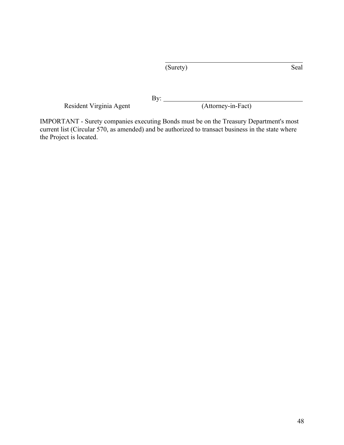|                         | (Surety) |                    | Seal |  |
|-------------------------|----------|--------------------|------|--|
|                         |          |                    |      |  |
|                         | Bv:      |                    |      |  |
| Resident Virginia Agent |          | (Attorney-in-Fact) |      |  |

IMPORTANT - Surety companies executing Bonds must be on the Treasury Department's most current list (Circular 570, as amended) and be authorized to transact business in the state where the Project is located.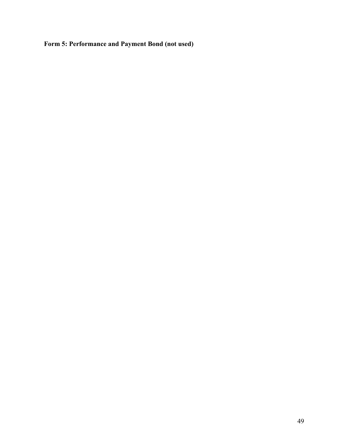# **Form 5: Performance and Payment Bond (not used)**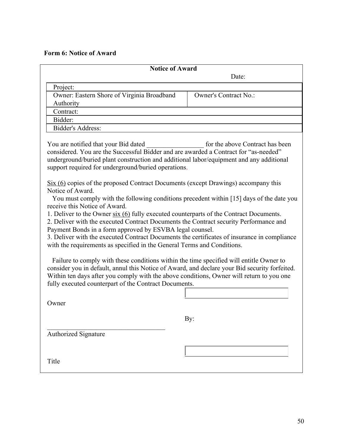# **Form 6: Notice of Award**

| <b>Notice of Award</b>                                                                                                                                                                                                                                                                                                                                                                                                                                                                                                                                                                                                                                                                                                                                                                                                                                                                                                                                                                                                              |                              |  |  |  |  |
|-------------------------------------------------------------------------------------------------------------------------------------------------------------------------------------------------------------------------------------------------------------------------------------------------------------------------------------------------------------------------------------------------------------------------------------------------------------------------------------------------------------------------------------------------------------------------------------------------------------------------------------------------------------------------------------------------------------------------------------------------------------------------------------------------------------------------------------------------------------------------------------------------------------------------------------------------------------------------------------------------------------------------------------|------------------------------|--|--|--|--|
| Date:                                                                                                                                                                                                                                                                                                                                                                                                                                                                                                                                                                                                                                                                                                                                                                                                                                                                                                                                                                                                                               |                              |  |  |  |  |
| Project:                                                                                                                                                                                                                                                                                                                                                                                                                                                                                                                                                                                                                                                                                                                                                                                                                                                                                                                                                                                                                            |                              |  |  |  |  |
| Owner: Eastern Shore of Virginia Broadband                                                                                                                                                                                                                                                                                                                                                                                                                                                                                                                                                                                                                                                                                                                                                                                                                                                                                                                                                                                          | <b>Owner's Contract No.:</b> |  |  |  |  |
| Authority                                                                                                                                                                                                                                                                                                                                                                                                                                                                                                                                                                                                                                                                                                                                                                                                                                                                                                                                                                                                                           |                              |  |  |  |  |
| Contract:                                                                                                                                                                                                                                                                                                                                                                                                                                                                                                                                                                                                                                                                                                                                                                                                                                                                                                                                                                                                                           |                              |  |  |  |  |
| Bidder:                                                                                                                                                                                                                                                                                                                                                                                                                                                                                                                                                                                                                                                                                                                                                                                                                                                                                                                                                                                                                             |                              |  |  |  |  |
| <b>Bidder's Address:</b>                                                                                                                                                                                                                                                                                                                                                                                                                                                                                                                                                                                                                                                                                                                                                                                                                                                                                                                                                                                                            |                              |  |  |  |  |
| You are notified that your Bid dated<br>for the above Contract has been<br>considered. You are the Successful Bidder and are awarded a Contract for "as-needed"<br>underground/buried plant construction and additional labor/equipment and any additional<br>support required for underground/buried operations.                                                                                                                                                                                                                                                                                                                                                                                                                                                                                                                                                                                                                                                                                                                   |                              |  |  |  |  |
| Six (6) copies of the proposed Contract Documents (except Drawings) accompany this<br>Notice of Award.<br>You must comply with the following conditions precedent within [15] days of the date you<br>receive this Notice of Award.<br>1. Deliver to the Owner $\frac{\sin (6)}{2}$ fully executed counterparts of the Contract Documents.<br>2. Deliver with the executed Contract Documents the Contract security Performance and<br>Payment Bonds in a form approved by ESVBA legal counsel.<br>3. Deliver with the executed Contract Documents the certificates of insurance in compliance<br>with the requirements as specified in the General Terms and Conditions.<br>Failure to comply with these conditions within the time specified will entitle Owner to<br>consider you in default, annul this Notice of Award, and declare your Bid security forfeited.<br>Within ten days after you comply with the above conditions, Owner will return to you one<br>fully executed counterpart of the Contract Documents.<br>Owner |                              |  |  |  |  |
|                                                                                                                                                                                                                                                                                                                                                                                                                                                                                                                                                                                                                                                                                                                                                                                                                                                                                                                                                                                                                                     |                              |  |  |  |  |
|                                                                                                                                                                                                                                                                                                                                                                                                                                                                                                                                                                                                                                                                                                                                                                                                                                                                                                                                                                                                                                     | By:                          |  |  |  |  |
| Authorized Signature                                                                                                                                                                                                                                                                                                                                                                                                                                                                                                                                                                                                                                                                                                                                                                                                                                                                                                                                                                                                                |                              |  |  |  |  |
|                                                                                                                                                                                                                                                                                                                                                                                                                                                                                                                                                                                                                                                                                                                                                                                                                                                                                                                                                                                                                                     |                              |  |  |  |  |
|                                                                                                                                                                                                                                                                                                                                                                                                                                                                                                                                                                                                                                                                                                                                                                                                                                                                                                                                                                                                                                     |                              |  |  |  |  |
| Title                                                                                                                                                                                                                                                                                                                                                                                                                                                                                                                                                                                                                                                                                                                                                                                                                                                                                                                                                                                                                               |                              |  |  |  |  |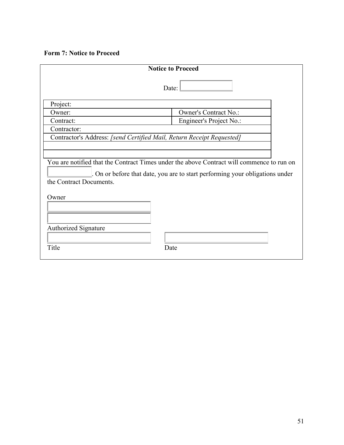# **Form 7: Notice to Proceed**

|                                                                                                                                                                                                      | <b>Notice to Proceed</b>     |  |  |  |
|------------------------------------------------------------------------------------------------------------------------------------------------------------------------------------------------------|------------------------------|--|--|--|
|                                                                                                                                                                                                      | Date:                        |  |  |  |
| Project:                                                                                                                                                                                             |                              |  |  |  |
| Owner:                                                                                                                                                                                               | <b>Owner's Contract No.:</b> |  |  |  |
| Contract:                                                                                                                                                                                            | Engineer's Project No.:      |  |  |  |
| Contractor:                                                                                                                                                                                          |                              |  |  |  |
| Contractor's Address: [send Certified Mail, Return Receipt Requested]                                                                                                                                |                              |  |  |  |
| You are notified that the Contract Times under the above Contract will commence to run on<br>. On or before that date, you are to start performing your obligations under<br>the Contract Documents. |                              |  |  |  |
| Owner                                                                                                                                                                                                |                              |  |  |  |
| <b>Authorized Signature</b>                                                                                                                                                                          |                              |  |  |  |
| Title                                                                                                                                                                                                | Date                         |  |  |  |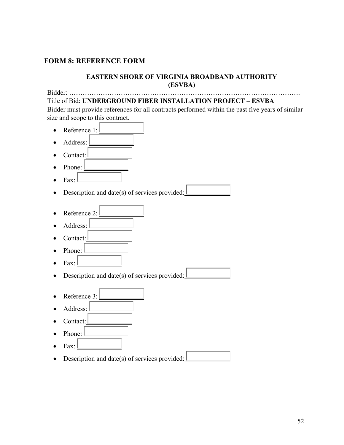# **FORM 8: REFERENCE FORM**

| <b>EASTERN SHORE OF VIRGINIA BROADBAND AUTHORITY</b>                                             |
|--------------------------------------------------------------------------------------------------|
| (ESVBA)<br>Bidder:                                                                               |
| Title of Bid: UNDERGROUND FIBER INSTALLATION PROJECT - ESVBA                                     |
| Bidder must provide references for all contracts performed within the past five years of similar |
| size and scope to this contract.                                                                 |
| Reference 1:                                                                                     |
| Address:                                                                                         |
| Contact:                                                                                         |
| Phone:                                                                                           |
| Fax:                                                                                             |
| Description and date(s) of services provided:                                                    |
|                                                                                                  |
| Reference 2:                                                                                     |
| Address:                                                                                         |
| Contact:                                                                                         |
| Phone:                                                                                           |
|                                                                                                  |
| Fax:                                                                                             |
| Description and date(s) of services provided:                                                    |
|                                                                                                  |
| Reference 3:                                                                                     |
| Address:                                                                                         |
| Contact:                                                                                         |
| Phone:                                                                                           |
| Fax:                                                                                             |
| Description and date(s) of services provided:                                                    |
|                                                                                                  |
|                                                                                                  |
|                                                                                                  |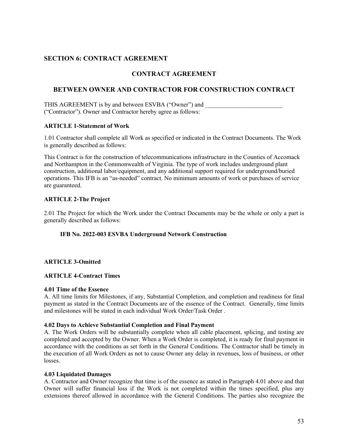### **SECTION 6: CONTRACT AGREEMENT**

### **CONTRACT AGREEMENT**

### **BETWEEN OWNER AND CONTRACTOR FOR CONSTRUCTION CONTRACT**

THIS AGREEMENT is by and between ESVBA ("Owner") and ("Contractor"). Owner and Contractor hereby agree as follows:

#### **ARTICLE 1-Statement of Work**

1.01 Contractor shall complete all Work as specified or indicated in the Contract Documents. The Work is generally described as follows:

This Contract is for the construction of telecommunications infrastructure in the Counties of Accomack and Northampton in the Commonwealth of Virginia. The type of work includes underground plant construction, additional labor/equipment, and any additional support required for underground/buried operations. This IFB is an "as-needed" contract. No minimum amounts of work or purchases of service are guaranteed.

#### **ARTICLE 2-The Project**

2.01 The Project for which the Work under the Contract Documents may be the whole or only a part is generally described as follows:

#### **IFB No. 2022-003 ESVBA Underground Network Construction**

#### **ARTICLE 3-Omitted**

#### **ARTICLE 4-Contract Times**

#### **4.01 Time of the Essence**

A. All time limits for Milestones, if any, Substantial Completion, and completion and readiness for final payment as stated in the Contract Documents are of the essence of the Contract. Generally, time limits and milestones will be stated in each individual Work Order/Task Order .

#### **4.02 Days to Achieve Substantial Completion and Final Payment**

A. The Work Orders will be substantially complete when all cable placement, splicing, and testing are completed and accepted by the Owner. When a Work Order is completed, it is ready for final payment in accordance with the conditions as set forth in the General Conditions. The Contractor shall be timely in the execution of all Work Orders as not to cause Owner any delay in revenues, loss of business, or other losses.

#### **4.03 Liquidated Damages**

A. Contractor and Owner recognize that time is of the essence as stated in Paragraph 4.01 above and that Owner will suffer financial loss if the Work is not completed within the times specified, plus any extensions thereof allowed in accordance with the General Conditions. The parties also recognize the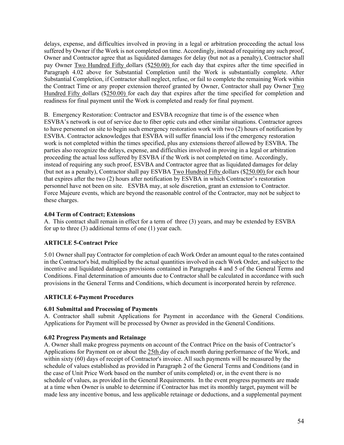delays, expense, and difficulties involved in proving in a legal or arbitration proceeding the actual loss suffered by Owner if the Work is not completed on time. Accordingly, instead of requiring any such proof, Owner and Contractor agree that as liquidated damages for delay (but not as a penalty), Contractor shall pay Owner Two Hundred Fifty dollars (\$250.00) for each day that expires after the time specified in Paragraph 4.02 above for Substantial Completion until the Work is substantially complete. After Substantial Completion, if Contractor shall neglect, refuse, or fail to complete the remaining Work within the Contract Time or any proper extension thereof granted by Owner, Contractor shall pay Owner Two Hundred Fifty dollars (\$250.00) for each day that expires after the time specified for completion and readiness for final payment until the Work is completed and ready for final payment.

B. Emergency Restoration: Contractor and ESVBA recognize that time is of the essence when ESVBA's network is out of service due to fiber optic cuts and other similar situations. Contractor agrees to have personnel on site to begin such emergency restoration work with two (2) hours of notification by ESVBA. Contractor acknowledges that ESVBA will suffer financial loss if the emergency restoration work is not completed within the times specified, plus any extensions thereof allowed by ESVBA. The parties also recognize the delays, expense, and difficulties involved in proving in a legal or arbitration proceeding the actual loss suffered by ESVBA if the Work is not completed on time. Accordingly, instead of requiring any such proof, ESVBA and Contractor agree that as liquidated damages for delay (but not as a penalty), Contractor shall pay ESVBA Two Hundred Fifty dollars (\$250.00) for each hour that expires after the two (2) hours after notification by ESVBA in which Contractor's restoration personnel have not been on site. ESVBA may, at sole discretion, grant an extension to Contractor. Force Majeure events, which are beyond the reasonable control of the Contractor, may not be subject to these charges.

#### **4.04 Term of Contract; Extensions**

A. This contract shall remain in effect for a term of three (3) years, and may be extended by ESVBA for up to three (3) additional terms of one (1) year each.

#### **ARTICLE 5-Contract Price**

5.01 Owner shall pay Contractor for completion of each Work Order an amount equal to the rates contained in the Contractor's bid, multiplied by the actual quantities involved in each Work Order, and subject to the incentive and liquidated damages provisions contained in Paragraphs 4 and 5 of the General Terms and Conditions. Final determination of amounts due to Contractor shall be calculated in accordance with such provisions in the General Terms and Conditions, which document is incorporated herein by reference.

#### **ARTICLE 6-Payment Procedures**

#### **6.01 Submittal and Processing of Payments**

A. Contractor shall submit Applications for Payment in accordance with the General Conditions. Applications for Payment will be processed by Owner as provided in the General Conditions.

#### **6.02 Progress Payments and Retainage**

A. Owner shall make progress payments on account of the Contract Price on the basis of Contractor's Applications for Payment on or about the 25th day of each month during performance of the Work, and within sixty (60) days of receipt of Contractor's invoice. All such payments will be measured by the schedule of values established as provided in Paragraph 2 of the General Terms and Conditions (and in the case of Unit Price Work based on the number of units completed) or, in the event there is no schedule of values, as provided in the General Requirements. In the event progress payments are made at a time when Owner is unable to determine if Contractor has met its monthly target, payment will be made less any incentive bonus, and less applicable retainage or deductions, and a supplemental payment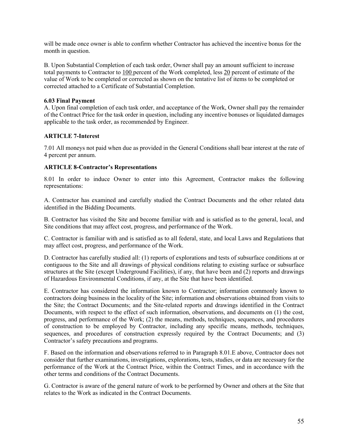will be made once owner is able to confirm whether Contractor has achieved the incentive bonus for the month in question.

B. Upon Substantial Completion of each task order, Owner shall pay an amount sufficient to increase total payments to Contractor to 100 percent of the Work completed, less 20 percent of estimate of the value of Work to be completed or corrected as shown on the tentative list of items to be completed or corrected attached to a Certificate of Substantial Completion.

#### **6.03 Final Payment**

A. Upon final completion of each task order, and acceptance of the Work, Owner shall pay the remainder of the Contract Price for the task order in question, including any incentive bonuses or liquidated damages applicable to the task order, as recommended by Engineer.

#### **ARTICLE 7-Interest**

7.01 All moneys not paid when due as provided in the General Conditions shall bear interest at the rate of 4 percent per annum.

#### **ARTICLE 8-Contractor's Representations**

8.01 In order to induce Owner to enter into this Agreement, Contractor makes the following representations:

A. Contractor has examined and carefully studied the Contract Documents and the other related data identified in the Bidding Documents.

B. Contractor has visited the Site and become familiar with and is satisfied as to the general, local, and Site conditions that may affect cost, progress, and performance of the Work.

C. Contractor is familiar with and is satisfied as to all federal, state, and local Laws and Regulations that may affect cost, progress, and performance of the Work.

D. Contractor has carefully studied all: (1) reports of explorations and tests of subsurface conditions at or contiguous to the Site and all drawings of physical conditions relating to existing surface or subsurface structures at the Site (except Underground Facilities), if any, that have been and (2) reports and drawings of Hazardous Environmental Conditions, if any, at the Site that have been identified.

E. Contractor has considered the information known to Contractor; information commonly known to contractors doing business in the locality of the Site; information and observations obtained from visits to the Site; the Contract Documents; and the Site-related reports and drawings identified in the Contract Documents, with respect to the effect of such information, observations, and documents on (1) the cost, progress, and performance of the Work; (2) the means, methods, techniques, sequences, and procedures of construction to be employed by Contractor, including any specific means, methods, techniques, sequences, and procedures of construction expressly required by the Contract Documents; and (3) Contractor's safety precautions and programs.

F. Based on the information and observations referred to in Paragraph 8.01.E above, Contractor does not consider that further examinations, investigations, explorations, tests, studies, or data are necessary for the performance of the Work at the Contract Price, within the Contract Times, and in accordance with the other terms and conditions of the Contract Documents.

G. Contractor is aware of the general nature of work to be performed by Owner and others at the Site that relates to the Work as indicated in the Contract Documents.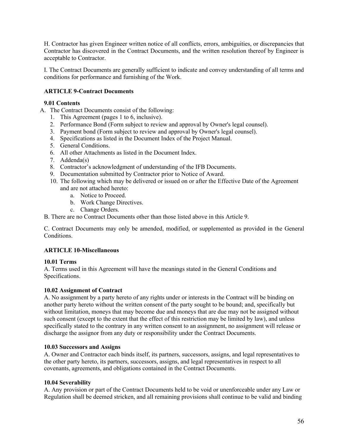H. Contractor has given Engineer written notice of all conflicts, errors, ambiguities, or discrepancies that Contractor has discovered in the Contract Documents, and the written resolution thereof by Engineer is acceptable to Contractor.

I. The Contract Documents are generally sufficient to indicate and convey understanding of all terms and conditions for performance and furnishing of the Work.

#### **ARTICLE 9-Contract Documents**

#### **9.01 Contents**

- A. The Contract Documents consist of the following:
	- 1. This Agreement (pages 1 to 6, inclusive).
	- 2. Performance Bond (Form subject to review and approval by Owner's legal counsel).
	- 3. Payment bond (Form subject to review and approval by Owner's legal counsel).
	- 4. Specifications as listed in the Document Index of the Project Manual.
	- 5. General Conditions.
	- 6. All other Attachments as listed in the Document Index.
	- 7. Addenda(s)
	- 8. Contractor's acknowledgment of understanding of the IFB Documents.
	- 9. Documentation submitted by Contractor prior to Notice of Award.
	- 10. The following which may be delivered or issued on or after the Effective Date of the Agreement and are not attached hereto:
		- a. Notice to Proceed.
		- b. Work Change Directives.
		- c. Change Orders.

B. There are no Contract Documents other than those listed above in this Article 9.

C. Contract Documents may only be amended, modified, or supplemented as provided in the General Conditions.

#### **ARTICLE 10-Miscellaneous**

#### **10.01 Terms**

A. Terms used in this Agreement will have the meanings stated in the General Conditions and Specifications.

#### **10.02 Assignment of Contract**

A. No assignment by a party hereto of any rights under or interests in the Contract will be binding on another party hereto without the written consent of the party sought to be bound; and, specifically but without limitation, moneys that may become due and moneys that are due may not be assigned without such consent (except to the extent that the effect of this restriction may be limited by law), and unless specifically stated to the contrary in any written consent to an assignment, no assignment will release or discharge the assignor from any duty or responsibility under the Contract Documents.

#### **10.03 Successors and Assigns**

A. Owner and Contractor each binds itself, its partners, successors, assigns, and legal representatives to the other party hereto, its partners, successors, assigns, and legal representatives in respect to all covenants, agreements, and obligations contained in the Contract Documents.

#### **10.04 Severability**

A. Any provision or part of the Contract Documents held to be void or unenforceable under any Law or Regulation shall be deemed stricken, and all remaining provisions shall continue to be valid and binding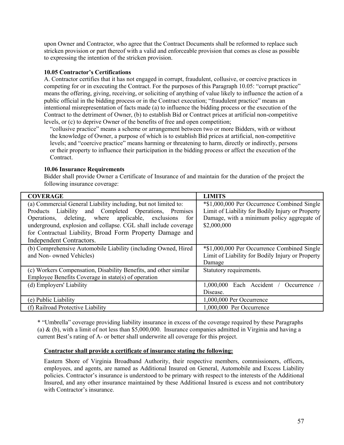upon Owner and Contractor, who agree that the Contract Documents shall be reformed to replace such stricken provision or part thereof with a valid and enforceable provision that comes as close as possible to expressing the intention of the stricken provision.

#### **10.05 Contractor's Certifications**

A. Contractor certifies that it has not engaged in corrupt, fraudulent, collusive, or coercive practices in competing for or in executing the Contract. For the purposes of this Paragraph 10.05: "corrupt practice" means the offering, giving, receiving, or soliciting of anything of value likely to influence the action of a public official in the bidding process or in the Contract execution; "fraudulent practice" means an intentional misrepresentation of facts made (a) to influence the bidding process or the execution of the Contract to the detriment of Owner, (b) to establish Bid or Contract prices at artificial non-competitive levels, or (c) to deprive Owner of the benefits of free and open competition;

"collusive practice" means a scheme or arrangement between two or more Bidders, with or without the knowledge of Owner, a purpose of which is to establish Bid prices at artificial, non-competitive levels; and "coercive practice" means harming or threatening to harm, directly or indirectly, persons or their property to influence their participation in the bidding process or affect the execution of the Contract.

#### **10.06 Insurance Requirements**

Bidder shall provide Owner a Certificate of Insurance of and maintain for the duration of the project the following insurance coverage:

| <b>COVERAGE</b>                                                  | <b>LIMITS</b>                                    |  |  |
|------------------------------------------------------------------|--------------------------------------------------|--|--|
| (a) Commercial General Liability including, but not limited to:  | *\$1,000,000 Per Occurrence Combined Single      |  |  |
| Products Liability and Completed Operations, Premises            | Limit of Liability for Bodily Injury or Property |  |  |
| Operations, deleting, where applicable, exclusions<br>for        | Damage, with a minimum policy aggregate of       |  |  |
| underground, explosion and collapse. CGL shall include coverage  | \$2,000,000                                      |  |  |
| for Contractual Liability, Broad Form Property Damage and        |                                                  |  |  |
| Independent Contractors.                                         |                                                  |  |  |
| (b) Comprehensive Automobile Liability (including Owned, Hired   | *\$1,000,000 Per Occurrence Combined Single      |  |  |
| and Non- owned Vehicles)                                         | Limit of Liability for Bodily Injury or Property |  |  |
|                                                                  | Damage                                           |  |  |
| (c) Workers Compensation, Disability Benefits, and other similar | Statutory requirements.                          |  |  |
| Employee Benefits Coverage in state(s) of operation              |                                                  |  |  |
| (d) Employers' Liability                                         | 1,000,000 Each Accident / Occurrence             |  |  |
|                                                                  | Disease.                                         |  |  |
| (e) Public Liability                                             | 1,000,000 Per Occurrence                         |  |  |
| (f) Railroad Protective Liability                                | 1,000,000 Per Occurrence                         |  |  |

\* "Umbrella" coverage providing liability insurance in excess of the coverage required by these Paragraphs (a) & (b), with a limit of not less than \$5,000,000. Insurance companies admitted in Virginia and having a current Best's rating of A- or better shall underwrite all coverage for this project.

#### **Contractor shall provide a certificate of insurance stating the following:**

Eastern Shore of Virginia Broadband Authority, their respective members, commissioners, officers, employees, and agents, are named as Additional Insured on General, Automobile and Excess Liability policies. Contractor's insurance is understood to be primary with respect to the interests of the Additional Insured, and any other insurance maintained by these Additional Insured is excess and not contributory with Contractor's insurance.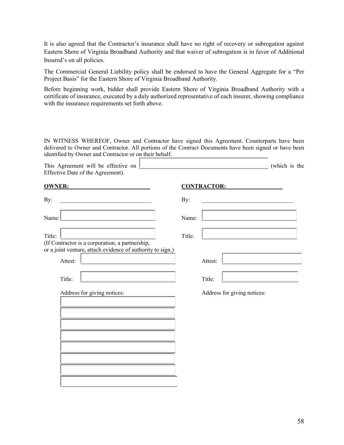It is also agreed that the Contractor's insurance shall have no right of recovery or subrogation against Eastern Shore of Virginia Broadband Authority and that waiver of subrogation is in favor of Additional Insured's on all policies.

The Commercial General Liability policy shall be endorsed to have the General Aggregate for a "Per Project Basis" for the Eastern Shore of Virginia Broadband Authority.

Before beginning work, bidder shall provide Eastern Shore of Virginia Broadband Authority with a certificate of insurance, executed by a duly authorized representative of each insurer, showing compliance with the insurance requirements set forth above.

IN WITNESS WHEREOF, Owner and Contractor have signed this Agreement. Counterparts have been delivered to Owner and Contractor. All portions of the Contract Documents have been signed or have been identified by Owner and Contractor or on their behalf.

|               |         | This Agreement will be effective on I<br>Effective Date of the Agreement). |                                                                                                               |        |                    |                                                                                                                      | (which is the |
|---------------|---------|----------------------------------------------------------------------------|---------------------------------------------------------------------------------------------------------------|--------|--------------------|----------------------------------------------------------------------------------------------------------------------|---------------|
| <b>OWNER:</b> |         |                                                                            |                                                                                                               |        | <b>CONTRACTOR:</b> |                                                                                                                      |               |
| By:           |         |                                                                            |                                                                                                               | By:    |                    | <u> 1980 - Johann Barn, mars eta bat erroman erroman erroman erroman erroman erroman erroman erroman erroman err</u> |               |
| Name:         |         | the control of the control of the control of the control of the control of |                                                                                                               | Name:  |                    | the control of the control of the control of the control of                                                          |               |
| Title:        |         |                                                                            | (If Contractor is a corporation, a partnership,<br>or a joint venture, attach evidence of authority to sign.) | Title: |                    |                                                                                                                      |               |
|               | Attest: |                                                                            |                                                                                                               |        | Attest:            |                                                                                                                      |               |
|               | Title:  |                                                                            |                                                                                                               |        | Title:             |                                                                                                                      |               |
|               |         | Address for giving notices:                                                |                                                                                                               |        |                    | Address for giving notices:                                                                                          |               |
|               |         |                                                                            |                                                                                                               |        |                    |                                                                                                                      |               |
|               |         |                                                                            |                                                                                                               |        |                    |                                                                                                                      |               |
|               |         |                                                                            |                                                                                                               |        |                    |                                                                                                                      |               |
|               |         |                                                                            |                                                                                                               |        |                    |                                                                                                                      |               |
|               |         |                                                                            |                                                                                                               |        |                    |                                                                                                                      |               |